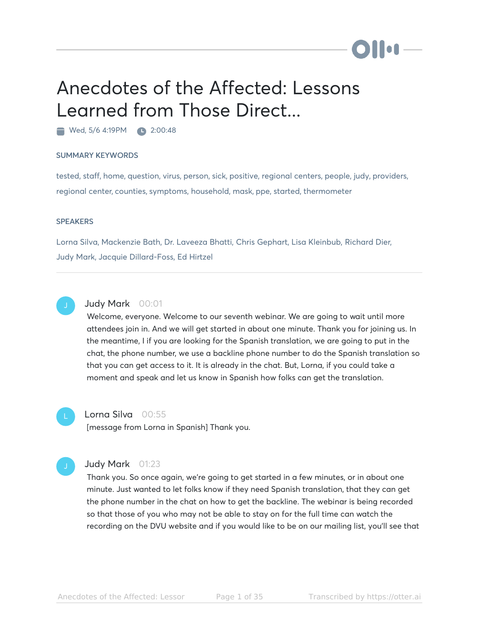# Anecdotes of the Affected: Lessons Learned from Those Direct...

Wed, 5/6 4:19PM 2:00:48

#### SUMMARY KEYWORDS

tested, staff, home, question, virus, person, sick, positive, regional centers, people, judy, providers, regional center, counties, symptoms, household, mask, ppe, started, thermometer

#### **SPEAKERS**

Lorna Silva, Mackenzie Bath, Dr. Laveeza Bhatti, Chris Gephart, Lisa Kleinbub, Richard Dier, Judy Mark, Jacquie Dillard-Foss, Ed Hirtzel



#### Judy Mark 00:01

Welcome, everyone. Welcome to our seventh webinar. We are going to wait until more attendees join in. And we will get started in about one minute. Thank you for joining us. In the meantime, I if you are looking for the Spanish translation, we are going to put in the chat, the phone number, we use a backline phone number to do the Spanish translation so that you can get access to it. It is already in the chat. But, Lorna, if you could take a moment and speak and let us know in Spanish how folks can get the translation.



#### Lorna Silva 00:55

[message from Lorna in Spanish] Thank you.

# Judy Mark 01:23

Thank you. So once again, we're going to get started in a few minutes, or in about one minute. Just wanted to let folks know if they need Spanish translation, that they can get the phone number in the chat on how to get the backline. The webinar is being recorded so that those of you who may not be able to stay on for the full time can watch the recording on the DVU website and if you would like to be on our mailing list, you'll see that

lo A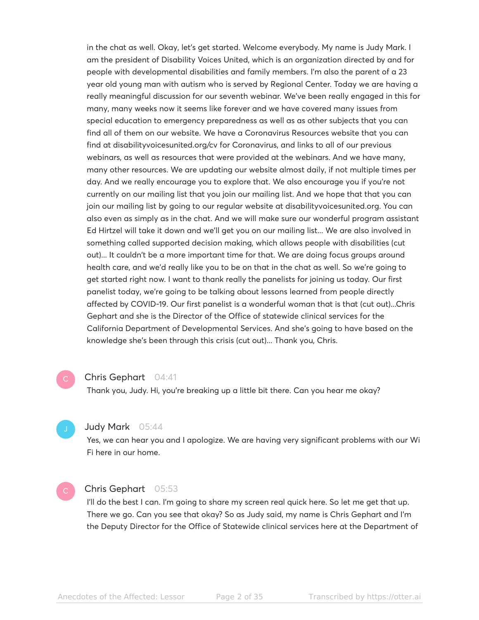in the chat as well. Okay, let's get started. Welcome everybody. My name is Judy Mark. I am the president of Disability Voices United, which is an organization directed by and for people with developmental disabilities and family members. I'm also the parent of a 23 year old young man with autism who is served by Regional Center. Today we are having a really meaningful discussion for our seventh webinar. We've been really engaged in this for many, many weeks now it seems like forever and we have covered many issues from special education to emergency preparedness as well as as other subjects that you can find all of them on our website. We have a Coronavirus Resources website that you can find at disabilityvoicesunited.org/cv for Coronavirus, and links to all of our previous webinars, as well as resources that were provided at the webinars. And we have many, many other resources. We are updating our website almost daily, if not multiple times per day. And we really encourage you to explore that. We also encourage you if you're not currently on our mailing list that you join our mailing list. And we hope that that you can join our mailing list by going to our regular website at disabilityvoicesunited.org. You can also even as simply as in the chat. And we will make sure our wonderful program assistant Ed Hirtzel will take it down and we'll get you on our mailing list... We are also involved in something called supported decision making, which allows people with disabilities (cut out)... It couldn't be a more important time for that. We are doing focus groups around health care, and we'd really like you to be on that in the chat as well. So we're going to get started right now. I want to thank really the panelists for joining us today. Our first panelist today, we're going to be talking about lessons learned from people directly affected by COVID-19. Our first panelist is a wonderful woman that is that (cut out)...Chris Gephart and she is the Director of the Office of statewide clinical services for the California Department of Developmental Services. And she's going to have based on the knowledge she's been through this crisis (cut out)... Thank you, Chris.

#### Chris Gephart 04:41

Thank you, Judy. Hi, you're breaking up a little bit there. Can you hear me okay?

#### Judy Mark 05:44

Yes, we can hear you and I apologize. We are having very significant problems with our Wi Fi here in our home.

# Chris Gephart 05:53

I'll do the best I can. I'm going to share my screen real quick here. So let me get that up. There we go. Can you see that okay? So as Judy said, my name is Chris Gephart and I'm the Deputy Director for the Office of Statewide clinical services here at the Department of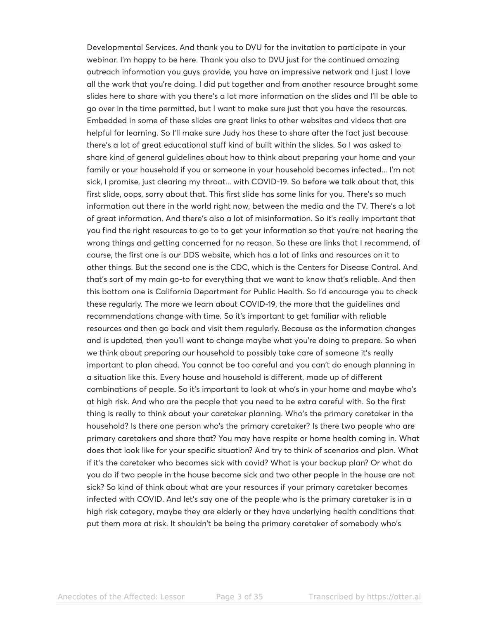Developmental Services. And thank you to DVU for the invitation to participate in your webinar. I'm happy to be here. Thank you also to DVU just for the continued amazing outreach information you guys provide, you have an impressive network and I just I love all the work that you're doing. I did put together and from another resource brought some slides here to share with you there's a lot more information on the slides and I'll be able to go over in the time permitted, but I want to make sure just that you have the resources. Embedded in some of these slides are great links to other websites and videos that are helpful for learning. So I'll make sure Judy has these to share after the fact just because there's a lot of great educational stuff kind of built within the slides. So I was asked to share kind of general guidelines about how to think about preparing your home and your family or your household if you or someone in your household becomes infected... I'm not sick, I promise, just clearing my throat... with COVID-19. So before we talk about that, this first slide, oops, sorry about that. This first slide has some links for you. There's so much information out there in the world right now, between the media and the TV. There's a lot of great information. And there's also a lot of misinformation. So it's really important that you find the right resources to go to to get your information so that you're not hearing the wrong things and getting concerned for no reason. So these are links that I recommend, of course, the first one is our DDS website, which has a lot of links and resources on it to other things. But the second one is the CDC, which is the Centers for Disease Control. And that's sort of my main go-to for everything that we want to know that's reliable. And then this bottom one is California Department for Public Health. So I'd encourage you to check these regularly. The more we learn about COVID-19, the more that the guidelines and recommendations change with time. So it's important to get familiar with reliable resources and then go back and visit them regularly. Because as the information changes and is updated, then you'll want to change maybe what you're doing to prepare. So when we think about preparing our household to possibly take care of someone it's really important to plan ahead. You cannot be too careful and you can't do enough planning in a situation like this. Every house and household is different, made up of different combinations of people. So it's important to look at who's in your home and maybe who's at high risk. And who are the people that you need to be extra careful with. So the first thing is really to think about your caretaker planning. Who's the primary caretaker in the household? Is there one person who's the primary caretaker? Is there two people who are primary caretakers and share that? You may have respite or home health coming in. What does that look like for your specific situation? And try to think of scenarios and plan. What if it's the caretaker who becomes sick with covid? What is your backup plan? Or what do you do if two people in the house become sick and two other people in the house are not sick? So kind of think about what are your resources if your primary caretaker becomes infected with COVID. And let's say one of the people who is the primary caretaker is in a high risk category, maybe they are elderly or they have underlying health conditions that put them more at risk. It shouldn't be being the primary caretaker of somebody who's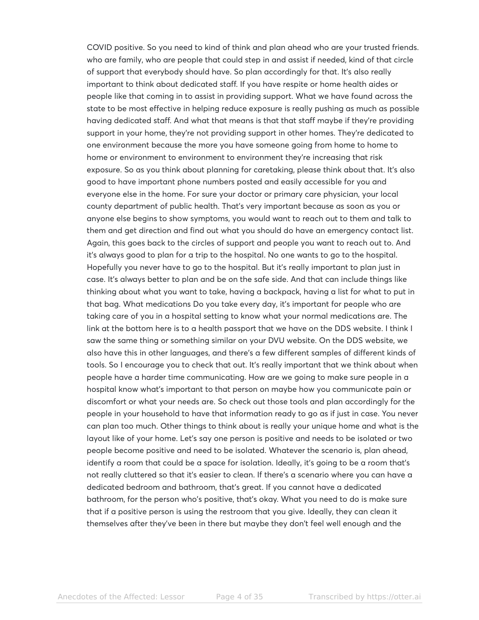COVID positive. So you need to kind of think and plan ahead who are your trusted friends. who are family, who are people that could step in and assist if needed, kind of that circle of support that everybody should have. So plan accordingly for that. It's also really important to think about dedicated staff. If you have respite or home health aides or people like that coming in to assist in providing support. What we have found across the state to be most effective in helping reduce exposure is really pushing as much as possible having dedicated staff. And what that means is that that staff maybe if they're providing support in your home, they're not providing support in other homes. They're dedicated to one environment because the more you have someone going from home to home to home or environment to environment to environment they're increasing that risk exposure. So as you think about planning for caretaking, please think about that. It's also good to have important phone numbers posted and easily accessible for you and everyone else in the home. For sure your doctor or primary care physician, your local county department of public health. That's very important because as soon as you or anyone else begins to show symptoms, you would want to reach out to them and talk to them and get direction and find out what you should do have an emergency contact list. Again, this goes back to the circles of support and people you want to reach out to. And it's always good to plan for a trip to the hospital. No one wants to go to the hospital. Hopefully you never have to go to the hospital. But it's really important to plan just in case. It's always better to plan and be on the safe side. And that can include things like thinking about what you want to take, having a backpack, having a list for what to put in that bag. What medications Do you take every day, it's important for people who are taking care of you in a hospital setting to know what your normal medications are. The link at the bottom here is to a health passport that we have on the DDS website. I think I saw the same thing or something similar on your DVU website. On the DDS website, we also have this in other languages, and there's a few different samples of different kinds of tools. So I encourage you to check that out. It's really important that we think about when people have a harder time communicating. How are we going to make sure people in a hospital know what's important to that person on maybe how you communicate pain or discomfort or what your needs are. So check out those tools and plan accordingly for the people in your household to have that information ready to go as if just in case. You never can plan too much. Other things to think about is really your unique home and what is the layout like of your home. Let's say one person is positive and needs to be isolated or two people become positive and need to be isolated. Whatever the scenario is, plan ahead, identify a room that could be a space for isolation. Ideally, it's going to be a room that's not really cluttered so that it's easier to clean. If there's a scenario where you can have a dedicated bedroom and bathroom, that's great. If you cannot have a dedicated bathroom, for the person who's positive, that's okay. What you need to do is make sure that if a positive person is using the restroom that you give. Ideally, they can clean it themselves after they've been in there but maybe they don't feel well enough and the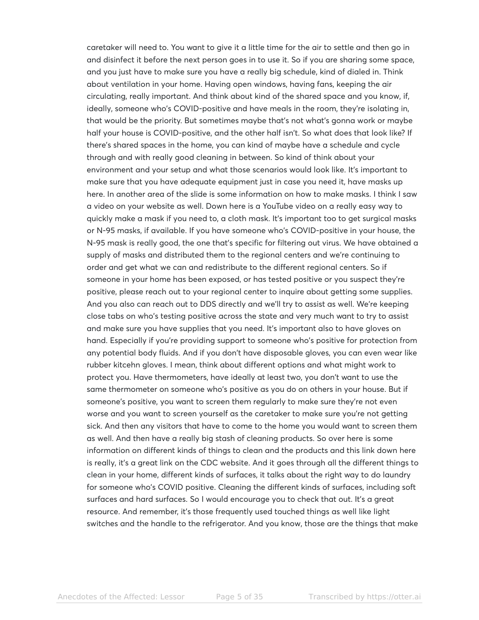caretaker will need to. You want to give it a little time for the air to settle and then go in and disinfect it before the next person goes in to use it. So if you are sharing some space, and you just have to make sure you have a really big schedule, kind of dialed in. Think about ventilation in your home. Having open windows, having fans, keeping the air circulating, really important. And think about kind of the shared space and you know, if, ideally, someone who's COVID-positive and have meals in the room, they're isolating in, that would be the priority. But sometimes maybe that's not what's gonna work or maybe half your house is COVID-positive, and the other half isn't. So what does that look like? If there's shared spaces in the home, you can kind of maybe have a schedule and cycle through and with really good cleaning in between. So kind of think about your environment and your setup and what those scenarios would look like. It's important to make sure that you have adequate equipment just in case you need it, have masks up here. In another area of the slide is some information on how to make masks. I think I saw a video on your website as well. Down here is a YouTube video on a really easy way to quickly make a mask if you need to, a cloth mask. It's important too to get surgical masks or N-95 masks, if available. If you have someone who's COVID-positive in your house, the N-95 mask is really good, the one that's specific for filtering out virus. We have obtained a supply of masks and distributed them to the regional centers and we're continuing to order and get what we can and redistribute to the different regional centers. So if someone in your home has been exposed, or has tested positive or you suspect they're positive, please reach out to your regional center to inquire about getting some supplies. And you also can reach out to DDS directly and we'll try to assist as well. We're keeping close tabs on who's testing positive across the state and very much want to try to assist and make sure you have supplies that you need. It's important also to have gloves on hand. Especially if you're providing support to someone who's positive for protection from any potential body fluids. And if you don't have disposable gloves, you can even wear like rubber kitcehn gloves. I mean, think about different options and what might work to protect you. Have thermometers, have ideally at least two, you don't want to use the same thermometer on someone who's positive as you do on others in your house. But if someone's positive, you want to screen them regularly to make sure they're not even worse and you want to screen yourself as the caretaker to make sure you're not getting sick. And then any visitors that have to come to the home you would want to screen them as well. And then have a really big stash of cleaning products. So over here is some information on different kinds of things to clean and the products and this link down here is really, it's a great link on the CDC website. And it goes through all the different things to clean in your home, different kinds of surfaces, it talks about the right way to do laundry for someone who's COVID positive. Cleaning the different kinds of surfaces, including soft surfaces and hard surfaces. So I would encourage you to check that out. It's a great resource. And remember, it's those frequently used touched things as well like light switches and the handle to the refrigerator. And you know, those are the things that make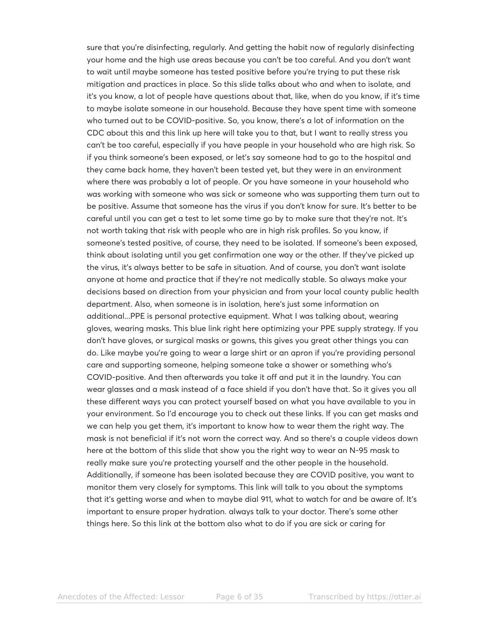sure that you're disinfecting, regularly. And getting the habit now of regularly disinfecting your home and the high use areas because you can't be too careful. And you don't want to wait until maybe someone has tested positive before you're trying to put these risk mitigation and practices in place. So this slide talks about who and when to isolate, and it's you know, a lot of people have questions about that, like, when do you know, if it's time to maybe isolate someone in our household. Because they have spent time with someone who turned out to be COVID-positive. So, you know, there's a lot of information on the CDC about this and this link up here will take you to that, but I want to really stress you can't be too careful, especially if you have people in your household who are high risk. So if you think someone's been exposed, or let's say someone had to go to the hospital and they came back home, they haven't been tested yet, but they were in an environment where there was probably a lot of people. Or you have someone in your household who was working with someone who was sick or someone who was supporting them turn out to be positive. Assume that someone has the virus if you don't know for sure. It's better to be careful until you can get a test to let some time go by to make sure that they're not. It's not worth taking that risk with people who are in high risk profiles. So you know, if someone's tested positive, of course, they need to be isolated. If someone's been exposed, think about isolating until you get confirmation one way or the other. If they've picked up the virus, it's always better to be safe in situation. And of course, you don't want isolate anyone at home and practice that if they're not medically stable. So always make your decisions based on direction from your physician and from your local county public health department. Also, when someone is in isolation, here's just some information on additional...PPE is personal protective equipment. What I was talking about, wearing gloves, wearing masks. This blue link right here optimizing your PPE supply strategy. If you don't have gloves, or surgical masks or gowns, this gives you great other things you can do. Like maybe you're going to wear a large shirt or an apron if you're providing personal care and supporting someone, helping someone take a shower or something who's COVID-positive. And then afterwards you take it off and put it in the laundry. You can wear glasses and a mask instead of a face shield if you don't have that. So it gives you all these different ways you can protect yourself based on what you have available to you in your environment. So I'd encourage you to check out these links. If you can get masks and we can help you get them, it's important to know how to wear them the right way. The mask is not beneficial if it's not worn the correct way. And so there's a couple videos down here at the bottom of this slide that show you the right way to wear an N-95 mask to really make sure you're protecting yourself and the other people in the household. Additionally, if someone has been isolated because they are COVID positive, you want to monitor them very closely for symptoms. This link will talk to you about the symptoms that it's getting worse and when to maybe dial 911, what to watch for and be aware of. It's important to ensure proper hydration. always talk to your doctor. There's some other things here. So this link at the bottom also what to do if you are sick or caring for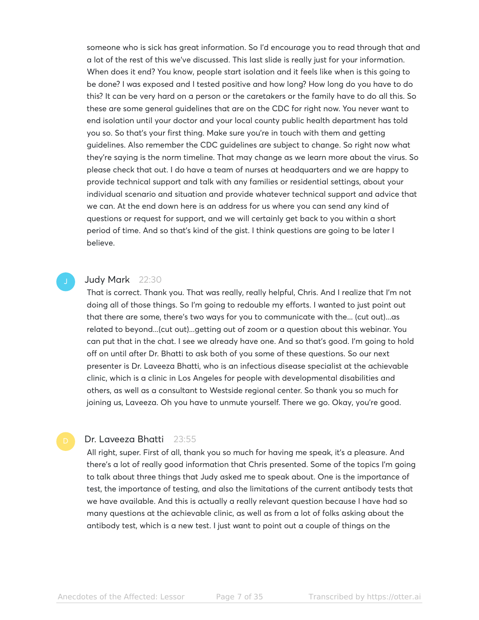someone who is sick has great information. So I'd encourage you to read through that and a lot of the rest of this we've discussed. This last slide is really just for your information. When does it end? You know, people start isolation and it feels like when is this going to be done? I was exposed and I tested positive and how long? How long do you have to do this? It can be very hard on a person or the caretakers or the family have to do all this. So these are some general guidelines that are on the CDC for right now. You never want to end isolation until your doctor and your local county public health department has told you so. So that's your first thing. Make sure you're in touch with them and getting guidelines. Also remember the CDC guidelines are subject to change. So right now what they're saying is the norm timeline. That may change as we learn more about the virus. So please check that out. I do have a team of nurses at headquarters and we are happy to provide technical support and talk with any families or residential settings, about your individual scenario and situation and provide whatever technical support and advice that we can. At the end down here is an address for us where you can send any kind of questions or request for support, and we will certainly get back to you within a short period of time. And so that's kind of the gist. I think questions are going to be later I believe.

# Judy Mark 22:30

That is correct. Thank you. That was really, really helpful, Chris. And I realize that I'm not doing all of those things. So I'm going to redouble my efforts. I wanted to just point out that there are some, there's two ways for you to communicate with the... (cut out)...as related to beyond...(cut out)...getting out of zoom or a question about this webinar. You can put that in the chat. I see we already have one. And so that's good. I'm going to hold off on until after Dr. Bhatti to ask both of you some of these questions. So our next presenter is Dr. Laveeza Bhatti, who is an infectious disease specialist at the achievable clinic, which is a clinic in Los Angeles for people with developmental disabilities and others, as well as a consultant to Westside regional center. So thank you so much for joining us, Laveeza. Oh you have to unmute yourself. There we go. Okay, you're good.

#### Dr. Laveeza Bhatti 23:55

All right, super. First of all, thank you so much for having me speak, it's a pleasure. And there's a lot of really good information that Chris presented. Some of the topics I'm going to talk about three things that Judy asked me to speak about. One is the importance of test, the importance of testing, and also the limitations of the current antibody tests that we have available. And this is actually a really relevant question because I have had so many questions at the achievable clinic, as well as from a lot of folks asking about the antibody test, which is a new test. I just want to point out a couple of things on the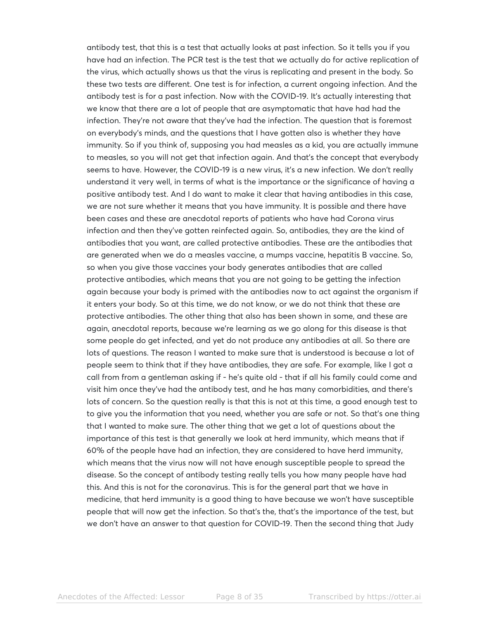antibody test, that this is a test that actually looks at past infection. So it tells you if you have had an infection. The PCR test is the test that we actually do for active replication of the virus, which actually shows us that the virus is replicating and present in the body. So these two tests are different. One test is for infection, a current ongoing infection. And the antibody test is for a past infection. Now with the COVID-19. It's actually interesting that we know that there are a lot of people that are asymptomatic that have had had the infection. They're not aware that they've had the infection. The question that is foremost on everybody's minds, and the questions that I have gotten also is whether they have immunity. So if you think of, supposing you had measles as a kid, you are actually immune to measles, so you will not get that infection again. And that's the concept that everybody seems to have. However, the COVID-19 is a new virus, it's a new infection. We don't really understand it very well, in terms of what is the importance or the significance of having a positive antibody test. And I do want to make it clear that having antibodies in this case, we are not sure whether it means that you have immunity. It is possible and there have been cases and these are anecdotal reports of patients who have had Corona virus infection and then they've gotten reinfected again. So, antibodies, they are the kind of antibodies that you want, are called protective antibodies. These are the antibodies that are generated when we do a measles vaccine, a mumps vaccine, hepatitis B vaccine. So, so when you give those vaccines your body generates antibodies that are called protective antibodies, which means that you are not going to be getting the infection again because your body is primed with the antibodies now to act against the organism if it enters your body. So at this time, we do not know, or we do not think that these are protective antibodies. The other thing that also has been shown in some, and these are again, anecdotal reports, because we're learning as we go along for this disease is that some people do get infected, and yet do not produce any antibodies at all. So there are lots of questions. The reason I wanted to make sure that is understood is because a lot of people seem to think that if they have antibodies, they are safe. For example, like I got a call from from a gentleman asking if - he's quite old - that if all his family could come and visit him once they've had the antibody test, and he has many comorbidities, and there's lots of concern. So the question really is that this is not at this time, a good enough test to to give you the information that you need, whether you are safe or not. So that's one thing that I wanted to make sure. The other thing that we get a lot of questions about the importance of this test is that generally we look at herd immunity, which means that if 60% of the people have had an infection, they are considered to have herd immunity, which means that the virus now will not have enough susceptible people to spread the disease. So the concept of antibody testing really tells you how many people have had this. And this is not for the coronavirus. This is for the general part that we have in medicine, that herd immunity is a good thing to have because we won't have susceptible people that will now get the infection. So that's the, that's the importance of the test, but we don't have an answer to that question for COVID-19. Then the second thing that Judy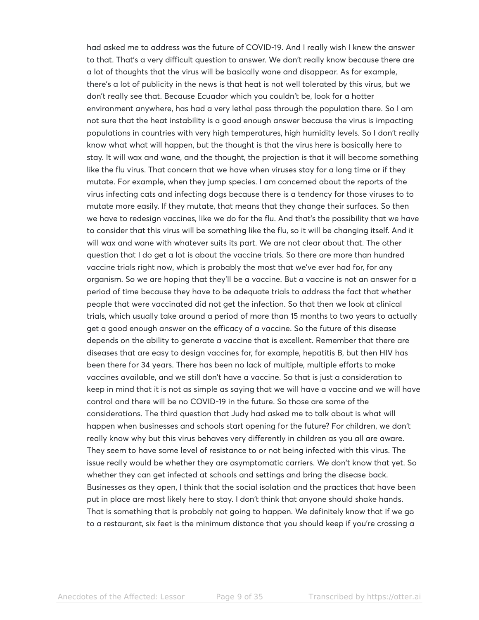had asked me to address was the future of COVID-19. And I really wish I knew the answer to that. That's a very difficult question to answer. We don't really know because there are a lot of thoughts that the virus will be basically wane and disappear. As for example, there's a lot of publicity in the news is that heat is not well tolerated by this virus, but we don't really see that. Because Ecuador which you couldn't be, look for a hotter environment anywhere, has had a very lethal pass through the population there. So I am not sure that the heat instability is a good enough answer because the virus is impacting populations in countries with very high temperatures, high humidity levels. So I don't really know what what will happen, but the thought is that the virus here is basically here to stay. It will wax and wane, and the thought, the projection is that it will become something like the flu virus. That concern that we have when viruses stay for a long time or if they mutate. For example, when they jump species. I am concerned about the reports of the virus infecting cats and infecting dogs because there is a tendency for those viruses to to mutate more easily. If they mutate, that means that they change their surfaces. So then we have to redesign vaccines, like we do for the flu. And that's the possibility that we have to consider that this virus will be something like the flu, so it will be changing itself. And it will wax and wane with whatever suits its part. We are not clear about that. The other question that I do get a lot is about the vaccine trials. So there are more than hundred vaccine trials right now, which is probably the most that we've ever had for, for any organism. So we are hoping that they'll be a vaccine. But a vaccine is not an answer for a period of time because they have to be adequate trials to address the fact that whether people that were vaccinated did not get the infection. So that then we look at clinical trials, which usually take around a period of more than 15 months to two years to actually get a good enough answer on the efficacy of a vaccine. So the future of this disease depends on the ability to generate a vaccine that is excellent. Remember that there are diseases that are easy to design vaccines for, for example, hepatitis B, but then HIV has been there for 34 years. There has been no lack of multiple, multiple efforts to make vaccines available, and we still don't have a vaccine. So that is just a consideration to keep in mind that it is not as simple as saying that we will have a vaccine and we will have control and there will be no COVID-19 in the future. So those are some of the considerations. The third question that Judy had asked me to talk about is what will happen when businesses and schools start opening for the future? For children, we don't really know why but this virus behaves very differently in children as you all are aware. They seem to have some level of resistance to or not being infected with this virus. The issue really would be whether they are asymptomatic carriers. We don't know that yet. So whether they can get infected at schools and settings and bring the disease back. Businesses as they open, I think that the social isolation and the practices that have been put in place are most likely here to stay. I don't think that anyone should shake hands. That is something that is probably not going to happen. We definitely know that if we go to a restaurant, six feet is the minimum distance that you should keep if you're crossing a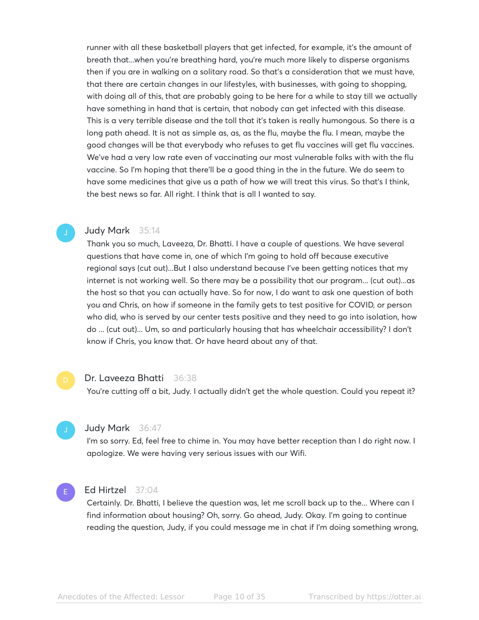runner with all these basketball players that get infected, for example, it's the amount of breath that...when you're breathing hard, you're much more likely to disperse organisms then if you are in walking on a solitary road. So that's a consideration that we must have, that there are certain changes in our lifestyles, with businesses, with going to shopping, with doing all of this, that are probably going to be here for a while to stay till we actually have something in hand that is certain, that nobody can get infected with this disease. This is a very terrible disease and the toll that it's taken is really humongous. So there is a long path ahead. It is not as simple as, as, as the flu, maybe the flu. I mean, maybe the good changes will be that everybody who refuses to get flu vaccines will get flu vaccines. We've had a very low rate even of vaccinating our most vulnerable folks with with the flu vaccine. So I'm hoping that there'll be a good thing in the in the future. We do seem to have some medicines that give us a path of how we will treat this virus. So that's I think, the best news so far. All right. I think that is all I wanted to say.

#### Judy Mark 35:14

Thank you so much, Laveeza, Dr. Bhatti. I have a couple of questions. We have several questions that have come in, one of which I'm going to hold off because executive regional says (cut out)...But I also understand because I've been getting notices that my internet is not working well. So there may be a possibility that our program... (cut out)...as the host so that you can actually have. So for now, I do want to ask one question of both you and Chris, on how if someone in the family gets to test positive for COVID, or person who did, who is served by our center tests positive and they need to go into isolation, how do ... (cut out)... Um, so and particularly housing that has wheelchair accessibility? I don't know if Chris, you know that. Or have heard about any of that.

#### Dr. Laveeza Bhatti 36:38

You're cutting off a bit, Judy. I actually didn't get the whole question. Could you repeat it?

#### Judy Mark 36:47

I'm so sorry. Ed, feel free to chime in. You may have better reception than I do right now. I apologize. We were having very serious issues with our Wifi.

# E

#### Ed Hirtzel 37:04

Certainly. Dr. Bhatti, I believe the question was, let me scroll back up to the... Where can I find information about housing? Oh, sorry. Go ahead, Judy. Okay. I'm going to continue reading the question, Judy, if you could message me in chat if I'm doing something wrong,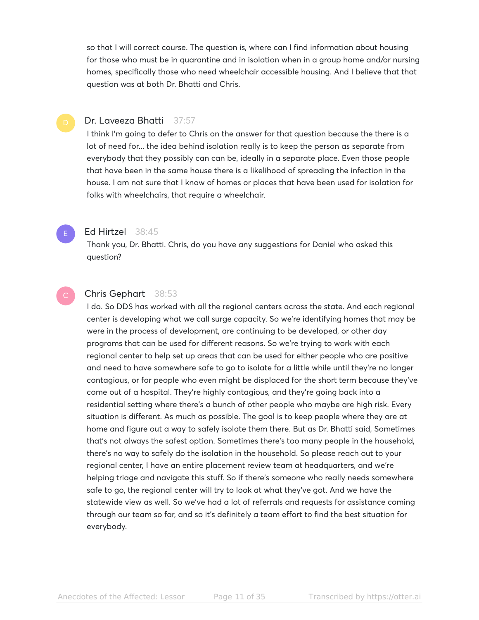so that I will correct course. The question is, where can I find information about housing for those who must be in quarantine and in isolation when in a group home and/or nursing homes, specifically those who need wheelchair accessible housing. And I believe that that question was at both Dr. Bhatti and Chris.

# Dr. Laveeza Bhatti 37:57

I think I'm going to defer to Chris on the answer for that question because the there is a lot of need for... the idea behind isolation really is to keep the person as separate from everybody that they possibly can can be, ideally in a separate place. Even those people that have been in the same house there is a likelihood of spreading the infection in the house. I am not sure that I know of homes or places that have been used for isolation for folks with wheelchairs, that require a wheelchair.

### Ed Hirtzel 38:45

E

Thank you, Dr. Bhatti. Chris, do you have any suggestions for Daniel who asked this question?

# Chris Gephart 38:53

I do. So DDS has worked with all the regional centers across the state. And each regional center is developing what we call surge capacity. So we're identifying homes that may be were in the process of development, are continuing to be developed, or other day programs that can be used for different reasons. So we're trying to work with each regional center to help set up areas that can be used for either people who are positive and need to have somewhere safe to go to isolate for a little while until they're no longer contagious, or for people who even might be displaced for the short term because they've come out of a hospital. They're highly contagious, and they're going back into a residential setting where there's a bunch of other people who maybe are high risk. Every situation is different. As much as possible. The goal is to keep people where they are at home and figure out a way to safely isolate them there. But as Dr. Bhatti said, Sometimes that's not always the safest option. Sometimes there's too many people in the household, there's no way to safely do the isolation in the household. So please reach out to your regional center, I have an entire placement review team at headquarters, and we're helping triage and navigate this stuff. So if there's someone who really needs somewhere safe to go, the regional center will try to look at what they've got. And we have the statewide view as well. So we've had a lot of referrals and requests for assistance coming through our team so far, and so it's definitely a team effort to find the best situation for everybody.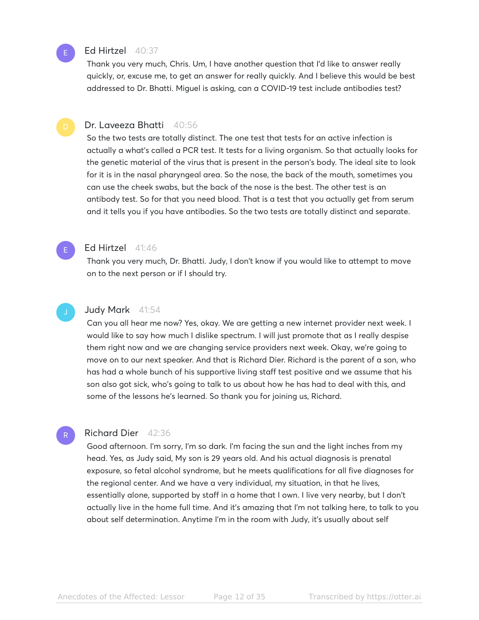

# Ed Hirtzel 40:37

Thank you very much, Chris. Um, I have another question that I'd like to answer really quickly, or, excuse me, to get an answer for really quickly. And I believe this would be best addressed to Dr. Bhatti. Miguel is asking, can a COVID-19 test include antibodies test?

E

R

### Dr. Laveeza Bhatti 40:56

So the two tests are totally distinct. The one test that tests for an active infection is actually a what's called a PCR test. It tests for a living organism. So that actually looks for the genetic material of the virus that is present in the person's body. The ideal site to look for it is in the nasal pharyngeal area. So the nose, the back of the mouth, sometimes you can use the cheek swabs, but the back of the nose is the best. The other test is an antibody test. So for that you need blood. That is a test that you actually get from serum and it tells you if you have antibodies. So the two tests are totally distinct and separate.

#### Ed Hirtzel 41:46

Thank you very much, Dr. Bhatti. Judy, I don't know if you would like to attempt to move on to the next person or if I should try.

#### Judy Mark 41:54

Can you all hear me now? Yes, okay. We are getting a new internet provider next week. I would like to say how much I dislike spectrum. I will just promote that as I really despise them right now and we are changing service providers next week. Okay, we're going to move on to our next speaker. And that is Richard Dier. Richard is the parent of a son, who has had a whole bunch of his supportive living staff test positive and we assume that his son also got sick, who's going to talk to us about how he has had to deal with this, and some of the lessons he's learned. So thank you for joining us, Richard.

#### Richard Dier 42:36

Good afternoon. I'm sorry, I'm so dark. I'm facing the sun and the light inches from my head. Yes, as Judy said, My son is 29 years old. And his actual diagnosis is prenatal exposure, so fetal alcohol syndrome, but he meets qualifications for all five diagnoses for the regional center. And we have a very individual, my situation, in that he lives, essentially alone, supported by staff in a home that I own. I live very nearby, but I don't actually live in the home full time. And it's amazing that I'm not talking here, to talk to you about self determination. Anytime I'm in the room with Judy, it's usually about self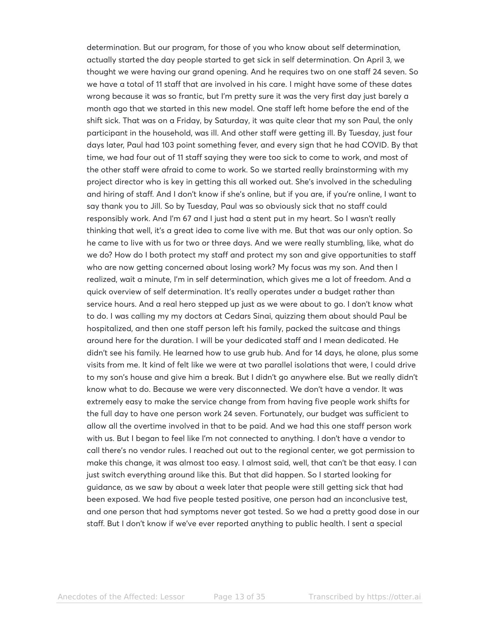determination. But our program, for those of you who know about self determination, actually started the day people started to get sick in self determination. On April 3, we thought we were having our grand opening. And he requires two on one staff 24 seven. So we have a total of 11 staff that are involved in his care. I might have some of these dates wrong because it was so frantic, but I'm pretty sure it was the very first day just barely a month ago that we started in this new model. One staff left home before the end of the shift sick. That was on a Friday, by Saturday, it was quite clear that my son Paul, the only participant in the household, was ill. And other staff were getting ill. By Tuesday, just four days later, Paul had 103 point something fever, and every sign that he had COVID. By that time, we had four out of 11 staff saying they were too sick to come to work, and most of the other staff were afraid to come to work. So we started really brainstorming with my project director who is key in getting this all worked out. She's involved in the scheduling and hiring of staff. And I don't know if she's online, but if you are, if you're online, I want to say thank you to Jill. So by Tuesday, Paul was so obviously sick that no staff could responsibly work. And I'm 67 and I just had a stent put in my heart. So I wasn't really thinking that well, it's a great idea to come live with me. But that was our only option. So he came to live with us for two or three days. And we were really stumbling, like, what do we do? How do I both protect my staff and protect my son and give opportunities to staff who are now getting concerned about losing work? My focus was my son. And then I realized, wait a minute, I'm in self determination, which gives me a lot of freedom. And a quick overview of self determination. It's really operates under a budget rather than service hours. And a real hero stepped up just as we were about to go. I don't know what to do. I was calling my my doctors at Cedars Sinai, quizzing them about should Paul be hospitalized, and then one staff person left his family, packed the suitcase and things around here for the duration. I will be your dedicated staff and I mean dedicated. He didn't see his family. He learned how to use grub hub. And for 14 days, he alone, plus some visits from me. It kind of felt like we were at two parallel isolations that were, I could drive to my son's house and give him a break. But I didn't go anywhere else. But we really didn't know what to do. Because we were very disconnected. We don't have a vendor. It was extremely easy to make the service change from from having five people work shifts for the full day to have one person work 24 seven. Fortunately, our budget was sufficient to allow all the overtime involved in that to be paid. And we had this one staff person work with us. But I began to feel like I'm not connected to anything. I don't have a vendor to call there's no vendor rules. I reached out out to the regional center, we got permission to make this change, it was almost too easy. I almost said, well, that can't be that easy. I can just switch everything around like this. But that did happen. So I started looking for guidance, as we saw by about a week later that people were still getting sick that had been exposed. We had five people tested positive, one person had an inconclusive test, and one person that had symptoms never got tested. So we had a pretty good dose in our staff. But I don't know if we've ever reported anything to public health. I sent a special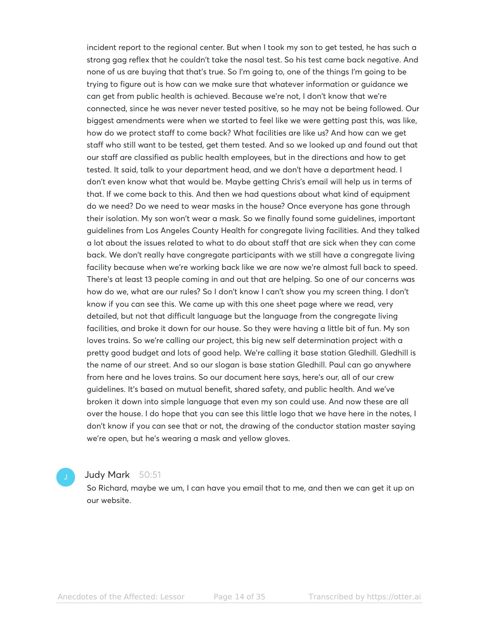incident report to the regional center. But when I took my son to get tested, he has such a strong gag reflex that he couldn't take the nasal test. So his test came back negative. And none of us are buying that that's true. So I'm going to, one of the things I'm going to be trying to figure out is how can we make sure that whatever information or guidance we can get from public health is achieved. Because we're not, I don't know that we're connected, since he was never never tested positive, so he may not be being followed. Our biggest amendments were when we started to feel like we were getting past this, was like, how do we protect staff to come back? What facilities are like us? And how can we get staff who still want to be tested, get them tested. And so we looked up and found out that our staff are classified as public health employees, but in the directions and how to get tested. It said, talk to your department head, and we don't have a department head. I don't even know what that would be. Maybe getting Chris's email will help us in terms of that. If we come back to this. And then we had questions about what kind of equipment do we need? Do we need to wear masks in the house? Once everyone has gone through their isolation. My son won't wear a mask. So we finally found some guidelines, important guidelines from Los Angeles County Health for congregate living facilities. And they talked a lot about the issues related to what to do about staff that are sick when they can come back. We don't really have congregate participants with we still have a congregate living facility because when we're working back like we are now we're almost full back to speed. There's at least 13 people coming in and out that are helping. So one of our concerns was how do we, what are our rules? So I don't know I can't show you my screen thing. I don't know if you can see this. We came up with this one sheet page where we read, very detailed, but not that difficult language but the language from the congregate living facilities, and broke it down for our house. So they were having a little bit of fun. My son loves trains. So we're calling our project, this big new self determination project with a pretty good budget and lots of good help. We're calling it base station Gledhill. Gledhill is the name of our street. And so our slogan is base station Gledhill. Paul can go anywhere from here and he loves trains. So our document here says, here's our, all of our crew guidelines. It's based on mutual benefit, shared safety, and public health. And we've broken it down into simple language that even my son could use. And now these are all over the house. I do hope that you can see this little logo that we have here in the notes, I don't know if you can see that or not, the drawing of the conductor station master saying we're open, but he's wearing a mask and yellow gloves.

#### Judy Mark 50:51

So Richard, maybe we um, I can have you email that to me, and then we can get it up on our website.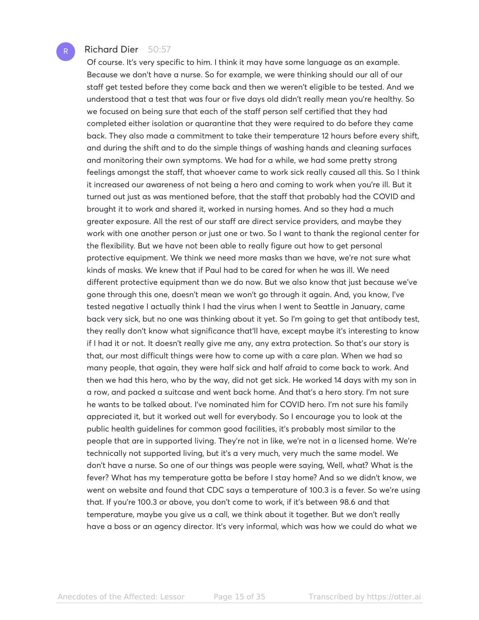# Richard Dier 50:57

Of course. It's very specific to him. I think it may have some language as an example. Because we don't have a nurse. So for example, we were thinking should our all of our staff get tested before they come back and then we weren't eligible to be tested. And we understood that a test that was four or five days old didn't really mean you're healthy. So we focused on being sure that each of the staff person self certified that they had completed either isolation or quarantine that they were required to do before they came back. They also made a commitment to take their temperature 12 hours before every shift, and during the shift and to do the simple things of washing hands and cleaning surfaces and monitoring their own symptoms. We had for a while, we had some pretty strong feelings amongst the staff, that whoever came to work sick really caused all this. So I think it increased our awareness of not being a hero and coming to work when you're ill. But it turned out just as was mentioned before, that the staff that probably had the COVID and brought it to work and shared it, worked in nursing homes. And so they had a much greater exposure. All the rest of our staff are direct service providers, and maybe they work with one another person or just one or two. So I want to thank the regional center for the flexibility. But we have not been able to really figure out how to get personal protective equipment. We think we need more masks than we have, we're not sure what kinds of masks. We knew that if Paul had to be cared for when he was ill. We need different protective equipment than we do now. But we also know that just because we've gone through this one, doesn't mean we won't go through it again. And, you know, I've tested negative I actually think I had the virus when I went to Seattle in January, came back very sick, but no one was thinking about it yet. So I'm going to get that antibody test, they really don't know what significance that'll have, except maybe it's interesting to know if I had it or not. It doesn't really give me any, any extra protection. So that's our story is that, our most difficult things were how to come up with a care plan. When we had so many people, that again, they were half sick and half afraid to come back to work. And then we had this hero, who by the way, did not get sick. He worked 14 days with my son in a row, and packed a suitcase and went back home. And that's a hero story. I'm not sure he wants to be talked about. I've nominated him for COVID hero. I'm not sure his family appreciated it, but it worked out well for everybody. So I encourage you to look at the public health guidelines for common good facilities, it's probably most similar to the people that are in supported living. They're not in like, we're not in a licensed home. We're technically not supported living, but it's a very much, very much the same model. We don't have a nurse. So one of our things was people were saying, Well, what? What is the fever? What has my temperature gotta be before I stay home? And so we didn't know, we went on website and found that CDC says a temperature of 100.3 is a fever. So we're using that. If you're 100.3 or above, you don't come to work, if it's between 98.6 and that temperature, maybe you give us a call, we think about it together. But we don't really have a boss or an agency director. It's very informal, which was how we could do what we

R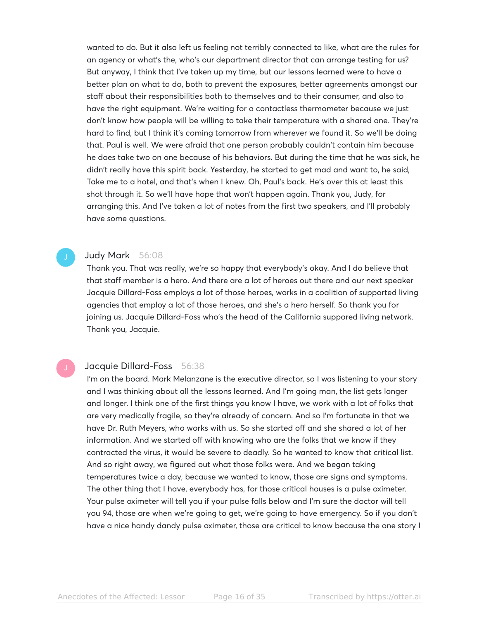wanted to do. But it also left us feeling not terribly connected to like, what are the rules for an agency or what's the, who's our department director that can arrange testing for us? But anyway, I think that I've taken up my time, but our lessons learned were to have a better plan on what to do, both to prevent the exposures, better agreements amongst our staff about their responsibilities both to themselves and to their consumer, and also to have the right equipment. We're waiting for a contactless thermometer because we just don't know how people will be willing to take their temperature with a shared one. They're hard to find, but I think it's coming tomorrow from wherever we found it. So we'll be doing that. Paul is well. We were afraid that one person probably couldn't contain him because he does take two on one because of his behaviors. But during the time that he was sick, he didn't really have this spirit back. Yesterday, he started to get mad and want to, he said, Take me to a hotel, and that's when I knew. Oh, Paul's back. He's over this at least this shot through it. So we'll have hope that won't happen again. Thank you, Judy, for arranging this. And I've taken a lot of notes from the first two speakers, and I'll probably have some questions.

# Judy Mark 56:08

Thank you. That was really, we're so happy that everybody's okay. And I do believe that that staff member is a hero. And there are a lot of heroes out there and our next speaker Jacquie Dillard-Foss employs a lot of those heroes, works in a coalition of supported living agencies that employ a lot of those heroes, and she's a hero herself. So thank you for joining us. Jacquie Dillard-Foss who's the head of the California suppored living network. Thank you, Jacquie.

### Jacquie Dillard-Foss 56:38

I'm on the board. Mark Melanzane is the executive director, so I was listening to your story and I was thinking about all the lessons learned. And I'm going man, the list gets longer and longer. I think one of the first things you know I have, we work with a lot of folks that are very medically fragile, so they're already of concern. And so I'm fortunate in that we have Dr. Ruth Meyers, who works with us. So she started off and she shared a lot of her information. And we started off with knowing who are the folks that we know if they contracted the virus, it would be severe to deadly. So he wanted to know that critical list. And so right away, we figured out what those folks were. And we began taking temperatures twice a day, because we wanted to know, those are signs and symptoms. The other thing that I have, everybody has, for those critical houses is a pulse oximeter. Your pulse oximeter will tell you if your pulse falls below and I'm sure the doctor will tell you 94, those are when we're going to get, we're going to have emergency. So if you don't have a nice handy dandy pulse oximeter, those are critical to know because the one story I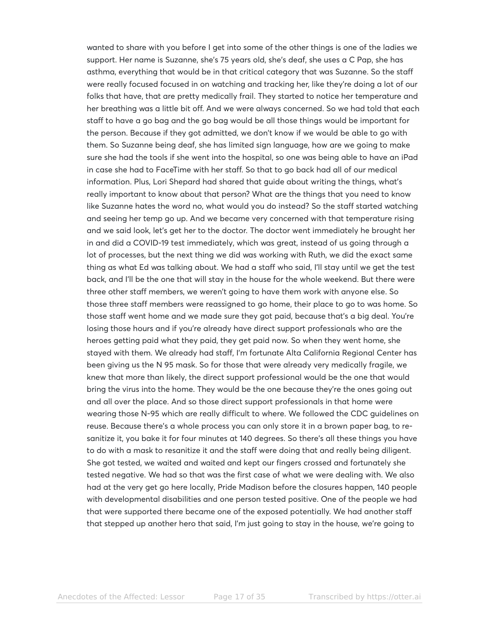wanted to share with you before I get into some of the other things is one of the ladies we support. Her name is Suzanne, she's 75 years old, she's deaf, she uses a C Pap, she has asthma, everything that would be in that critical category that was Suzanne. So the staff were really focused focused in on watching and tracking her, like they're doing a lot of our folks that have, that are pretty medically frail. They started to notice her temperature and her breathing was a little bit off. And we were always concerned. So we had told that each staff to have a go bag and the go bag would be all those things would be important for the person. Because if they got admitted, we don't know if we would be able to go with them. So Suzanne being deaf, she has limited sign language, how are we going to make sure she had the tools if she went into the hospital, so one was being able to have an iPad in case she had to FaceTime with her staff. So that to go back had all of our medical information. Plus, Lori Shepard had shared that guide about writing the things, what's really important to know about that person? What are the things that you need to know like Suzanne hates the word no, what would you do instead? So the staff started watching and seeing her temp go up. And we became very concerned with that temperature rising and we said look, let's get her to the doctor. The doctor went immediately he brought her in and did a COVID-19 test immediately, which was great, instead of us going through a lot of processes, but the next thing we did was working with Ruth, we did the exact same thing as what Ed was talking about. We had a staff who said, I'll stay until we get the test back, and I'll be the one that will stay in the house for the whole weekend. But there were three other staff members, we weren't going to have them work with anyone else. So those three staff members were reassigned to go home, their place to go to was home. So those staff went home and we made sure they got paid, because that's a big deal. You're losing those hours and if you're already have direct support professionals who are the heroes getting paid what they paid, they get paid now. So when they went home, she stayed with them. We already had staff, I'm fortunate Alta California Regional Center has been giving us the N 95 mask. So for those that were already very medically fragile, we knew that more than likely, the direct support professional would be the one that would bring the virus into the home. They would be the one because they're the ones going out and all over the place. And so those direct support professionals in that home were wearing those N-95 which are really difficult to where. We followed the CDC guidelines on reuse. Because there's a whole process you can only store it in a brown paper bag, to resanitize it, you bake it for four minutes at 140 degrees. So there's all these things you have to do with a mask to resanitize it and the staff were doing that and really being diligent. She got tested, we waited and waited and kept our fingers crossed and fortunately she tested negative. We had so that was the first case of what we were dealing with. We also had at the very get go here locally, Pride Madison before the closures happen, 140 people with developmental disabilities and one person tested positive. One of the people we had that were supported there became one of the exposed potentially. We had another staff that stepped up another hero that said, I'm just going to stay in the house, we're going to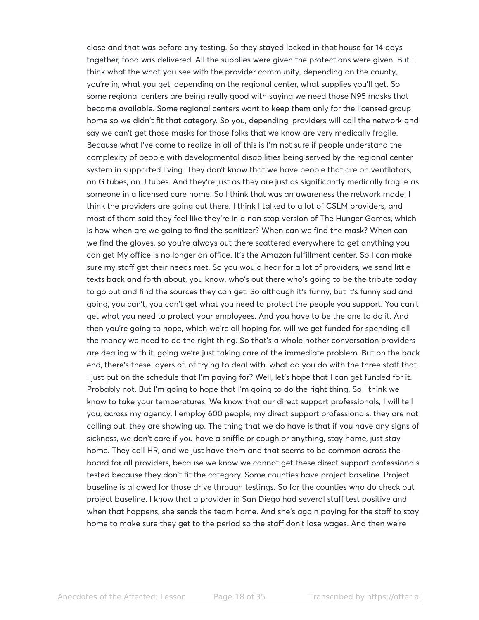close and that was before any testing. So they stayed locked in that house for 14 days together, food was delivered. All the supplies were given the protections were given. But I think what the what you see with the provider community, depending on the county, you're in, what you get, depending on the regional center, what supplies you'll get. So some regional centers are being really good with saying we need those N95 masks that became available. Some regional centers want to keep them only for the licensed group home so we didn't fit that category. So you, depending, providers will call the network and say we can't get those masks for those folks that we know are very medically fragile. Because what I've come to realize in all of this is I'm not sure if people understand the complexity of people with developmental disabilities being served by the regional center system in supported living. They don't know that we have people that are on ventilators, on G tubes, on J tubes. And they're just as they are just as significantly medically fragile as someone in a licensed care home. So I think that was an awareness the network made. I think the providers are going out there. I think I talked to a lot of CSLM providers, and most of them said they feel like they're in a non stop version of The Hunger Games, which is how when are we going to find the sanitizer? When can we find the mask? When can we find the gloves, so you're always out there scattered everywhere to get anything you can get My office is no longer an office. It's the Amazon fulfillment center. So I can make sure my staff get their needs met. So you would hear for a lot of providers, we send little texts back and forth about, you know, who's out there who's going to be the tribute today to go out and find the sources they can get. So although it's funny, but it's funny sad and going, you can't, you can't get what you need to protect the people you support. You can't get what you need to protect your employees. And you have to be the one to do it. And then you're going to hope, which we're all hoping for, will we get funded for spending all the money we need to do the right thing. So that's a whole nother conversation providers are dealing with it, going we're just taking care of the immediate problem. But on the back end, there's these layers of, of trying to deal with, what do you do with the three staff that I just put on the schedule that I'm paying for? Well, let's hope that I can get funded for it. Probably not. But I'm going to hope that I'm going to do the right thing. So I think we know to take your temperatures. We know that our direct support professionals, I will tell you, across my agency, I employ 600 people, my direct support professionals, they are not calling out, they are showing up. The thing that we do have is that if you have any signs of sickness, we don't care if you have a sniffle or cough or anything, stay home, just stay home. They call HR, and we just have them and that seems to be common across the board for all providers, because we know we cannot get these direct support professionals tested because they don't fit the category. Some counties have project baseline. Project baseline is allowed for those drive through testings. So for the counties who do check out project baseline. I know that a provider in San Diego had several staff test positive and when that happens, she sends the team home. And she's again paying for the staff to stay home to make sure they get to the period so the staff don't lose wages. And then we're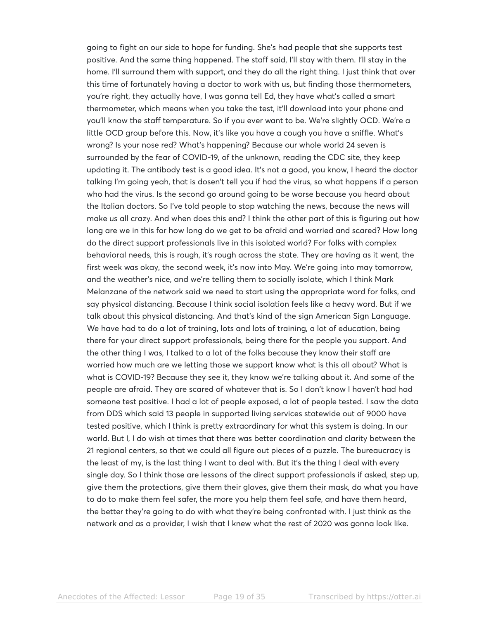going to fight on our side to hope for funding. She's had people that she supports test positive. And the same thing happened. The staff said, I'll stay with them. I'll stay in the home. I'll surround them with support, and they do all the right thing. I just think that over this time of fortunately having a doctor to work with us, but finding those thermometers, you're right, they actually have, I was gonna tell Ed, they have what's called a smart thermometer, which means when you take the test, it'll download into your phone and you'll know the staff temperature. So if you ever want to be. We're slightly OCD. We're a little OCD group before this. Now, it's like you have a cough you have a sniffle. What's wrong? Is your nose red? What's happening? Because our whole world 24 seven is surrounded by the fear of COVID-19, of the unknown, reading the CDC site, they keep updating it. The antibody test is a good idea. It's not a good, you know, I heard the doctor talking I'm going yeah, that is dosen't tell you if had the virus, so what happens if a person who had the virus. Is the second go around going to be worse because you heard about the Italian doctors. So I've told people to stop watching the news, because the news will make us all crazy. And when does this end? I think the other part of this is figuring out how long are we in this for how long do we get to be afraid and worried and scared? How long do the direct support professionals live in this isolated world? For folks with complex behavioral needs, this is rough, it's rough across the state. They are having as it went, the first week was okay, the second week, it's now into May. We're going into may tomorrow, and the weather's nice, and we're telling them to socially isolate, which I think Mark Melanzane of the network said we need to start using the appropriate word for folks, and say physical distancing. Because I think social isolation feels like a heavy word. But if we talk about this physical distancing. And that's kind of the sign American Sign Language. We have had to do a lot of training, lots and lots of training, a lot of education, being there for your direct support professionals, being there for the people you support. And the other thing I was, I talked to a lot of the folks because they know their staff are worried how much are we letting those we support know what is this all about? What is what is COVID-19? Because they see it, they know we're talking about it. And some of the people are afraid. They are scared of whatever that is. So I don't know I haven't had had someone test positive. I had a lot of people exposed, a lot of people tested. I saw the data from DDS which said 13 people in supported living services statewide out of 9000 have tested positive, which I think is pretty extraordinary for what this system is doing. In our world. But I, I do wish at times that there was better coordination and clarity between the 21 regional centers, so that we could all figure out pieces of a puzzle. The bureaucracy is the least of my, is the last thing I want to deal with. But it's the thing I deal with every single day. So I think those are lessons of the direct support professionals if asked, step up, give them the protections, give them their gloves, give them their mask, do what you have to do to make them feel safer, the more you help them feel safe, and have them heard, the better they're going to do with what they're being confronted with. I just think as the network and as a provider, I wish that I knew what the rest of 2020 was gonna look like.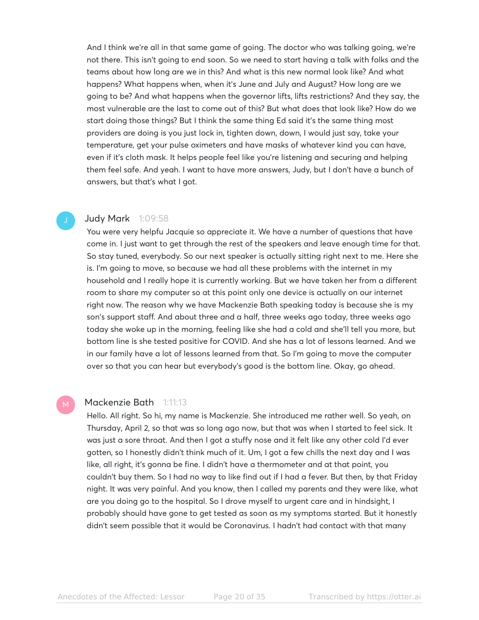And I think we're all in that same game of going. The doctor who was talking going, we're not there. This isn't going to end soon. So we need to start having a talk with folks and the teams about how long are we in this? And what is this new normal look like? And what happens? What happens when, when it's June and July and August? How long are we going to be? And what happens when the governor lifts, lifts restrictions? And they say, the most vulnerable are the last to come out of this? But what does that look like? How do we start doing those things? But I think the same thing Ed said it's the same thing most providers are doing is you just lock in, tighten down, down, I would just say, take your temperature, get your pulse oximeters and have masks of whatever kind you can have, even if it's cloth mask. It helps people feel like you're listening and securing and helping them feel safe. And yeah. I want to have more answers, Judy, but I don't have a bunch of answers, but that's what I got.

# Judy Mark 1:09:58

You were very helpfu Jacquie so appreciate it. We have a number of questions that have come in. I just want to get through the rest of the speakers and leave enough time for that. So stay tuned, everybody. So our next speaker is actually sitting right next to me. Here she is. I'm going to move, so because we had all these problems with the internet in my household and I really hope it is currently working. But we have taken her from a different room to share my computer so at this point only one device is actually on our internet right now. The reason why we have Mackenzie Bath speaking today is because she is my son's support staff. And about three and a half, three weeks ago today, three weeks ago today she woke up in the morning, feeling like she had a cold and she'll tell you more, but bottom line is she tested positive for COVID. And she has a lot of lessons learned. And we in our family have a lot of lessons learned from that. So I'm going to move the computer over so that you can hear but everybody's good is the bottom line. Okay, go ahead.

#### Mackenzie Bath 1:11:13

Hello. All right. So hi, my name is Mackenzie. She introduced me rather well. So yeah, on Thursday, April 2, so that was so long ago now, but that was when I started to feel sick. It was just a sore throat. And then I got a stuffy nose and it felt like any other cold I'd ever gotten, so I honestly didn't think much of it. Um, I got a few chills the next day and I was like, all right, it's gonna be fine. I didn't have a thermometer and at that point, you couldn't buy them. So I had no way to like find out if I had a fever. But then, by that Friday night. It was very painful. And you know, then I called my parents and they were like, what are you doing go to the hospital. So I drove myself to urgent care and in hindsight, I probably should have gone to get tested as soon as my symptoms started. But it honestly didn't seem possible that it would be Coronavirus. I hadn't had contact with that many

Anecdotes of the Affected: Lessor Learning Page 20 of 35 Transcribed by https://otter.ai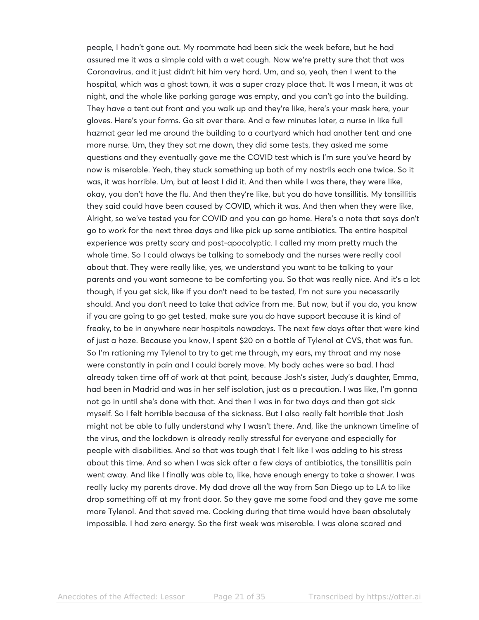people, I hadn't gone out. My roommate had been sick the week before, but he had assured me it was a simple cold with a wet cough. Now we're pretty sure that that was Coronavirus, and it just didn't hit him very hard. Um, and so, yeah, then I went to the hospital, which was a ghost town, it was a super crazy place that. It was I mean, it was at night, and the whole like parking garage was empty, and you can't go into the building. They have a tent out front and you walk up and they're like, here's your mask here, your gloves. Here's your forms. Go sit over there. And a few minutes later, a nurse in like full hazmat gear led me around the building to a courtyard which had another tent and one more nurse. Um, they they sat me down, they did some tests, they asked me some questions and they eventually gave me the COVID test which is I'm sure you've heard by now is miserable. Yeah, they stuck something up both of my nostrils each one twice. So it was, it was horrible. Um, but at least I did it. And then while I was there, they were like, okay, you don't have the flu. And then they're like, but you do have tonsillitis. My tonsillitis they said could have been caused by COVID, which it was. And then when they were like, Alright, so we've tested you for COVID and you can go home. Here's a note that says don't go to work for the next three days and like pick up some antibiotics. The entire hospital experience was pretty scary and post-apocalyptic. I called my mom pretty much the whole time. So I could always be talking to somebody and the nurses were really cool about that. They were really like, yes, we understand you want to be talking to your parents and you want someone to be comforting you. So that was really nice. And it's a lot though, if you get sick, like if you don't need to be tested, I'm not sure you necessarily should. And you don't need to take that advice from me. But now, but if you do, you know if you are going to go get tested, make sure you do have support because it is kind of freaky, to be in anywhere near hospitals nowadays. The next few days after that were kind of just a haze. Because you know, I spent \$20 on a bottle of Tylenol at CVS, that was fun. So I'm rationing my Tylenol to try to get me through, my ears, my throat and my nose were constantly in pain and I could barely move. My body aches were so bad. I had already taken time off of work at that point, because Josh's sister, Judy's daughter, Emma, had been in Madrid and was in her self isolation, just as a precaution. I was like, I'm gonna not go in until she's done with that. And then I was in for two days and then got sick myself. So I felt horrible because of the sickness. But I also really felt horrible that Josh might not be able to fully understand why I wasn't there. And, like the unknown timeline of the virus, and the lockdown is already really stressful for everyone and especially for people with disabilities. And so that was tough that I felt like I was adding to his stress about this time. And so when I was sick after a few days of antibiotics, the tonsillitis pain went away. And like I finally was able to, like, have enough energy to take a shower. I was really lucky my parents drove. My dad drove all the way from San Diego up to LA to like drop something off at my front door. So they gave me some food and they gave me some more Tylenol. And that saved me. Cooking during that time would have been absolutely impossible. I had zero energy. So the first week was miserable. I was alone scared and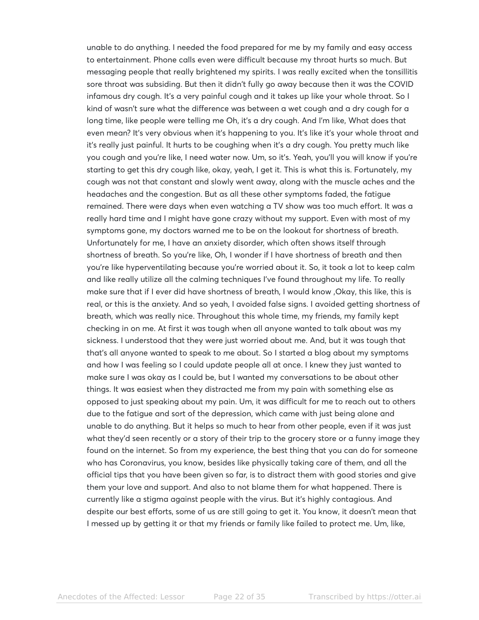unable to do anything. I needed the food prepared for me by my family and easy access to entertainment. Phone calls even were difficult because my throat hurts so much. But messaging people that really brightened my spirits. I was really excited when the tonsillitis sore throat was subsiding. But then it didn't fully go away because then it was the COVID infamous dry cough. It's a very painful cough and it takes up like your whole throat. So I kind of wasn't sure what the difference was between a wet cough and a dry cough for a long time, like people were telling me Oh, it's a dry cough. And I'm like, What does that even mean? It's very obvious when it's happening to you. It's like it's your whole throat and it's really just painful. It hurts to be coughing when it's a dry cough. You pretty much like you cough and you're like, I need water now. Um, so it's. Yeah, you'll you will know if you're starting to get this dry cough like, okay, yeah, I get it. This is what this is. Fortunately, my cough was not that constant and slowly went away, along with the muscle aches and the headaches and the congestion. But as all these other symptoms faded, the fatigue remained. There were days when even watching a TV show was too much effort. It was a really hard time and I might have gone crazy without my support. Even with most of my symptoms gone, my doctors warned me to be on the lookout for shortness of breath. Unfortunately for me, I have an anxiety disorder, which often shows itself through shortness of breath. So you're like, Oh, I wonder if I have shortness of breath and then you're like hyperventilating because you're worried about it. So, it took a lot to keep calm and like really utilize all the calming techniques I've found throughout my life. To really make sure that if I ever did have shortness of breath, I would know ,Okay, this like, this is real, or this is the anxiety. And so yeah, I avoided false signs. I avoided getting shortness of breath, which was really nice. Throughout this whole time, my friends, my family kept checking in on me. At first it was tough when all anyone wanted to talk about was my sickness. I understood that they were just worried about me. And, but it was tough that that's all anyone wanted to speak to me about. So I started a blog about my symptoms and how I was feeling so I could update people all at once. I knew they just wanted to make sure I was okay as I could be, but I wanted my conversations to be about other things. It was easiest when they distracted me from my pain with something else as opposed to just speaking about my pain. Um, it was difficult for me to reach out to others due to the fatigue and sort of the depression, which came with just being alone and unable to do anything. But it helps so much to hear from other people, even if it was just what they'd seen recently or a story of their trip to the grocery store or a funny image they found on the internet. So from my experience, the best thing that you can do for someone who has Coronavirus, you know, besides like physically taking care of them, and all the official tips that you have been given so far, is to distract them with good stories and give them your love and support. And also to not blame them for what happened. There is currently like a stigma against people with the virus. But it's highly contagious. And despite our best efforts, some of us are still going to get it. You know, it doesn't mean that I messed up by getting it or that my friends or family like failed to protect me. Um, like,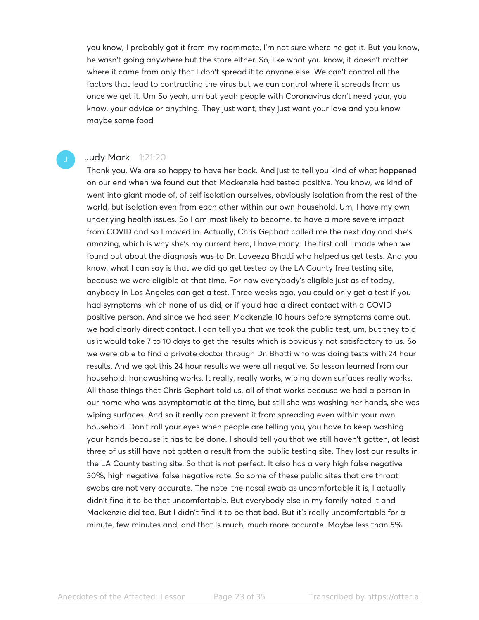you know, I probably got it from my roommate, I'm not sure where he got it. But you know, he wasn't going anywhere but the store either. So, like what you know, it doesn't matter where it came from only that I don't spread it to anyone else. We can't control all the factors that lead to contracting the virus but we can control where it spreads from us once we get it. Um So yeah, um but yeah people with Coronavirus don't need your, you know, your advice or anything. They just want, they just want your love and you know, maybe some food

#### **Judy Mark** 1:21:20

Thank you. We are so happy to have her back. And just to tell you kind of what happened on our end when we found out that Mackenzie had tested positive. You know, we kind of went into giant mode of, of self isolation ourselves, obviously isolation from the rest of the world, but isolation even from each other within our own household. Um, I have my own underlying health issues. So I am most likely to become. to have a more severe impact from COVID and so I moved in. Actually, Chris Gephart called me the next day and she's amazing, which is why she's my current hero, I have many. The first call I made when we found out about the diagnosis was to Dr. Laveeza Bhatti who helped us get tests. And you know, what I can say is that we did go get tested by the LA County free testing site, because we were eligible at that time. For now everybody's eligible just as of today, anybody in Los Angeles can get a test. Three weeks ago, you could only get a test if you had symptoms, which none of us did, or if you'd had a direct contact with a COVID positive person. And since we had seen Mackenzie 10 hours before symptoms came out, we had clearly direct contact. I can tell you that we took the public test, um, but they told us it would take 7 to 10 days to get the results which is obviously not satisfactory to us. So we were able to find a private doctor through Dr. Bhatti who was doing tests with 24 hour results. And we got this 24 hour results we were all negative. So lesson learned from our household: handwashing works. It really, really works, wiping down surfaces really works. All those things that Chris Gephart told us, all of that works because we had a person in our home who was asymptomatic at the time, but still she was washing her hands, she was wiping surfaces. And so it really can prevent it from spreading even within your own household. Don't roll your eyes when people are telling you, you have to keep washing your hands because it has to be done. I should tell you that we still haven't gotten, at least three of us still have not gotten a result from the public testing site. They lost our results in the LA County testing site. So that is not perfect. It also has a very high false negative 30%, high negative, false negative rate. So some of these public sites that are throat swabs are not very accurate. The note, the nasal swab as uncomfortable it is, I actually didn't find it to be that uncomfortable. But everybody else in my family hated it and Mackenzie did too. But I didn't find it to be that bad. But it's really uncomfortable for a minute, few minutes and, and that is much, much more accurate. Maybe less than 5%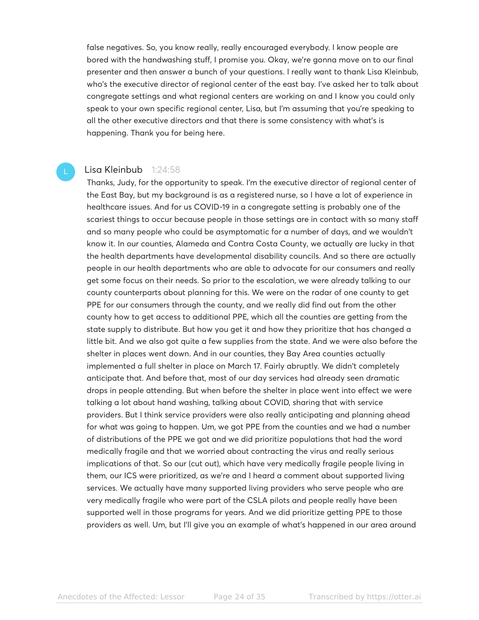false negatives. So, you know really, really encouraged everybody. I know people are bored with the handwashing stuff, I promise you. Okay, we're gonna move on to our final presenter and then answer a bunch of your questions. I really want to thank Lisa Kleinbub, who's the executive director of regional center of the east bay. I've asked her to talk about congregate settings and what regional centers are working on and I know you could only speak to your own specific regional center, Lisa, but I'm assuming that you're speaking to all the other executive directors and that there is some consistency with what's is happening. Thank you for being here.

#### Lisa Kleinbub 1:24:58

Thanks, Judy, for the opportunity to speak. I'm the executive director of regional center of the East Bay, but my background is as a registered nurse, so I have a lot of experience in healthcare issues. And for us COVID-19 in a congregate setting is probably one of the scariest things to occur because people in those settings are in contact with so many staff and so many people who could be asymptomatic for a number of days, and we wouldn't know it. In our counties, Alameda and Contra Costa County, we actually are lucky in that the health departments have developmental disability councils. And so there are actually people in our health departments who are able to advocate for our consumers and really get some focus on their needs. So prior to the escalation, we were already talking to our county counterparts about planning for this. We were on the radar of one county to get PPE for our consumers through the county, and we really did find out from the other county how to get access to additional PPE, which all the counties are getting from the state supply to distribute. But how you get it and how they prioritize that has changed a little bit. And we also got quite a few supplies from the state. And we were also before the shelter in places went down. And in our counties, they Bay Area counties actually implemented a full shelter in place on March 17. Fairly abruptly. We didn't completely anticipate that. And before that, most of our day services had already seen dramatic drops in people attending. But when before the shelter in place went into effect we were talking a lot about hand washing, talking about COVID, sharing that with service providers. But I think service providers were also really anticipating and planning ahead for what was going to happen. Um, we got PPE from the counties and we had a number of distributions of the PPE we got and we did prioritize populations that had the word medically fragile and that we worried about contracting the virus and really serious implications of that. So our (cut out), which have very medically fragile people living in them, our ICS were prioritized, as we're and I heard a comment about supported living services. We actually have many supported living providers who serve people who are very medically fragile who were part of the CSLA pilots and people really have been supported well in those programs for years. And we did prioritize getting PPE to those providers as well. Um, but I'll give you an example of what's happened in our area around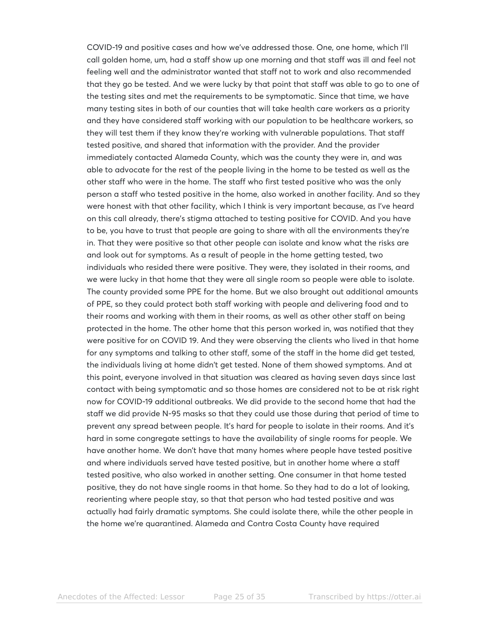COVID-19 and positive cases and how we've addressed those. One, one home, which I'll call golden home, um, had a staff show up one morning and that staff was ill and feel not feeling well and the administrator wanted that staff not to work and also recommended that they go be tested. And we were lucky by that point that staff was able to go to one of the testing sites and met the requirements to be symptomatic. Since that time, we have many testing sites in both of our counties that will take health care workers as a priority and they have considered staff working with our population to be healthcare workers, so they will test them if they know they're working with vulnerable populations. That staff tested positive, and shared that information with the provider. And the provider immediately contacted Alameda County, which was the county they were in, and was able to advocate for the rest of the people living in the home to be tested as well as the other staff who were in the home. The staff who first tested positive who was the only person a staff who tested positive in the home, also worked in another facility. And so they were honest with that other facility, which I think is very important because, as I've heard on this call already, there's stigma attached to testing positive for COVID. And you have to be, you have to trust that people are going to share with all the environments they're in. That they were positive so that other people can isolate and know what the risks are and look out for symptoms. As a result of people in the home getting tested, two individuals who resided there were positive. They were, they isolated in their rooms, and we were lucky in that home that they were all single room so people were able to isolate. The county provided some PPE for the home. But we also brought out additional amounts of PPE, so they could protect both staff working with people and delivering food and to their rooms and working with them in their rooms, as well as other other staff on being protected in the home. The other home that this person worked in, was notified that they were positive for on COVID 19. And they were observing the clients who lived in that home for any symptoms and talking to other staff, some of the staff in the home did get tested, the individuals living at home didn't get tested. None of them showed symptoms. And at this point, everyone involved in that situation was cleared as having seven days since last contact with being symptomatic and so those homes are considered not to be at risk right now for COVID-19 additional outbreaks. We did provide to the second home that had the staff we did provide N-95 masks so that they could use those during that period of time to prevent any spread between people. It's hard for people to isolate in their rooms. And it's hard in some congregate settings to have the availability of single rooms for people. We have another home. We don't have that many homes where people have tested positive and where individuals served have tested positive, but in another home where a staff tested positive, who also worked in another setting. One consumer in that home tested positive, they do not have single rooms in that home. So they had to do a lot of looking, reorienting where people stay, so that that person who had tested positive and was actually had fairly dramatic symptoms. She could isolate there, while the other people in the home we're quarantined. Alameda and Contra Costa County have required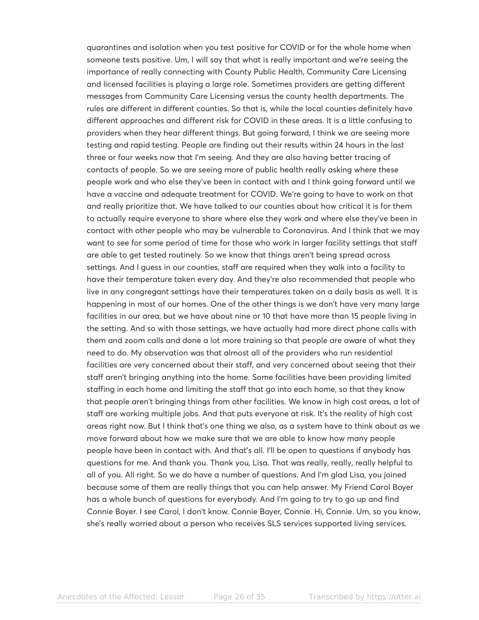quarantines and isolation when you test positive for COVID or for the whole home when someone tests positive. Um, I will say that what is really important and we're seeing the importance of really connecting with County Public Health, Community Care Licensing and licensed facilities is playing a large role. Sometimes providers are getting different messages from Community Care Licensing versus the county health departments. The rules are different in different counties. So that is, while the local counties definitely have different approaches and different risk for COVID in these areas. It is a little confusing to providers when they hear different things. But going forward, I think we are seeing more testing and rapid testing. People are finding out their results within 24 hours in the last three or four weeks now that I'm seeing. And they are also having better tracing of contacts of people. So we are seeing more of public health really asking where these people work and who else they've been in contact with and I think going forward until we have a vaccine and adequate treatment for COVID. We're going to have to work on that and really prioritize that. We have talked to our counties about how critical it is for them to actually require everyone to share where else they work and where else they've been in contact with other people who may be vulnerable to Coronavirus. And I think that we may want to see for some period of time for those who work in larger facility settings that staff are able to get tested routinely. So we know that things aren't being spread across settings. And I guess in our counties, staff are required when they walk into a facility to have their temperature taken every day. And they're also recommended that people who live in any congregant settings have their temperatures taken on a daily basis as well. It is happening in most of our homes. One of the other things is we don't have very many large facilities in our area, but we have about nine or 10 that have more than 15 people living in the setting. And so with those settings, we have actually had more direct phone calls with them and zoom calls and done a lot more training so that people are aware of what they need to do. My observation was that almost all of the providers who run residential facilities are very concerned about their staff, and very concerned about seeing that their staff aren't bringing anything into the home. Some facilities have been providing limited staffing in each home and limiting the staff that go into each home, so that they know that people aren't bringing things from other facilities. We know in high cost areas, a lot of staff are working multiple jobs. And that puts everyone at risk. It's the reality of high cost areas right now. But I think that's one thing we also, as a system have to think about as we move forward about how we make sure that we are able to know how many people people have been in contact with. And that's all. I'll be open to questions if anybody has questions for me. And thank you. Thank you, Lisa. That was really, really, really helpful to all of you. All right. So we do have a number of questions. And I'm glad Lisa, you joined because some of them are really things that you can help answer. My Friend Carol Boyer has a whole bunch of questions for everybody. And I'm going to try to go up and find Connie Boyer. I see Carol, I don't know. Connie Boyer, Connie. Hi, Connie. Um, so you know, she's really worried about a person who receives SLS services supported living services.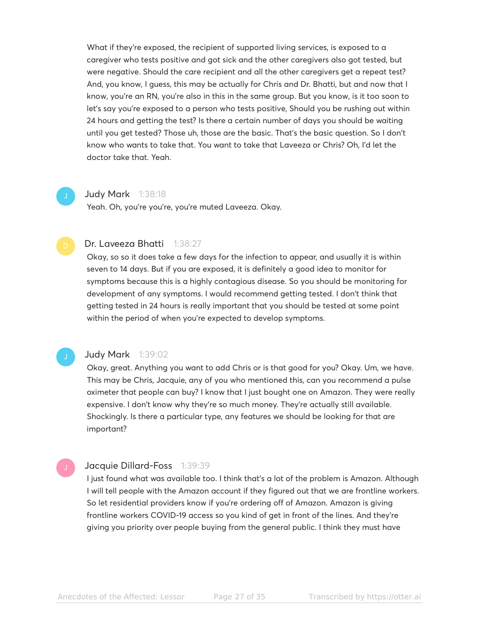What if they're exposed, the recipient of supported living services, is exposed to a caregiver who tests positive and got sick and the other caregivers also got tested, but were negative. Should the care recipient and all the other caregivers get a repeat test? And, you know, I guess, this may be actually for Chris and Dr. Bhatti, but and now that I know, you're an RN, you're also in this in the same group. But you know, is it too soon to let's say you're exposed to a person who tests positive, Should you be rushing out within 24 hours and getting the test? Is there a certain number of days you should be waiting until you get tested? Those uh, those are the basic. That's the basic question. So I don't know who wants to take that. You want to take that Laveeza or Chris? Oh, I'd let the doctor take that. Yeah.

#### Judy Mark 1:38:18

Yeah. Oh, you're you're, you're muted Laveeza. Okay.

#### Dr. Laveeza Bhatti 1:38:27

Okay, so so it does take a few days for the infection to appear, and usually it is within seven to 14 days. But if you are exposed, it is definitely a good idea to monitor for symptoms because this is a highly contagious disease. So you should be monitoring for development of any symptoms. I would recommend getting tested. I don't think that getting tested in 24 hours is really important that you should be tested at some point within the period of when you're expected to develop symptoms.

# Judy Mark 1:39:02

Okay, great. Anything you want to add Chris or is that good for you? Okay. Um, we have. This may be Chris, Jacquie, any of you who mentioned this, can you recommend a pulse oximeter that people can buy? I know that I just bought one on Amazon. They were really expensive. I don't know why they're so much money. They're actually still available. Shockingly. Is there a particular type, any features we should be looking for that are important?

#### Jacquie Dillard-Foss 1:39:39

I just found what was available too. I think that's a lot of the problem is Amazon. Although I will tell people with the Amazon account if they figured out that we are frontline workers. So let residential providers know if you're ordering off of Amazon. Amazon is giving frontline workers COVID-19 access so you kind of get in front of the lines. And they're giving you priority over people buying from the general public. I think they must have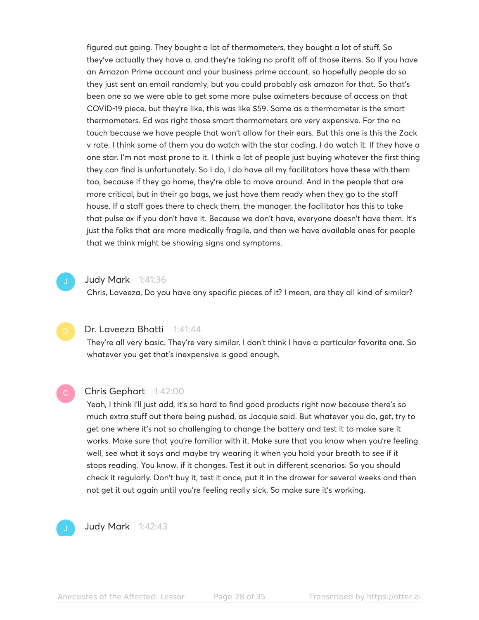figured out going. They bought a lot of thermometers, they bought a lot of stuff. So they've actually they have a, and they're taking no profit off of those items. So if you have an Amazon Prime account and your business prime account, so hopefully people do so they just sent an email randomly, but you could probably ask amazon for that. So that's been one so we were able to get some more pulse oximeters because of access on that COVID-19 piece, but they're like, this was like \$59. Same as a thermometer is the smart thermometers. Ed was right those smart thermometers are very expensive. For the no touch because we have people that won't allow for their ears. But this one is this the Zack v rate. I think some of them you do watch with the star coding. I do watch it. If they have a one star. I'm not most prone to it. I think a lot of people just buying whatever the first thing they can find is unfortunately. So I do, I do have all my facilitators have these with them too, because if they go home, they're able to move around. And in the people that are more critical, but in their go bags, we just have them ready when they go to the staff house. If a staff goes there to check them, the manager, the facilitator has this to take that pulse ox if you don't have it. Because we don't have, everyone doesn't have them. It's just the folks that are more medically fragile, and then we have available ones for people that we think might be showing signs and symptoms.

#### Judy Mark 1:41:36

Chris, Laveeza, Do you have any specific pieces of it? I mean, are they all kind of similar?

### Dr. Laveeza Bhatti 1:41:44

They're all very basic. They're very similar. I don't think I have a particular favorite one. So whatever you get that's inexpensive is good enough.

# Chris Gephart 1:42:00

Yeah, I think I'll just add, it's so hard to find good products right now because there's so much extra stuff out there being pushed, as Jacquie said. But whatever you do, get, try to get one where it's not so challenging to change the battery and test it to make sure it works. Make sure that you're familiar with it. Make sure that you know when you're feeling well, see what it says and maybe try wearing it when you hold your breath to see if it stops reading. You know, if it changes. Test it out in different scenarios. So you should check it regularly. Don't buy it, test it once, put it in the drawer for several weeks and then not get it out again until you're feeling really sick. So make sure it's working.



Judy Mark 1:42:43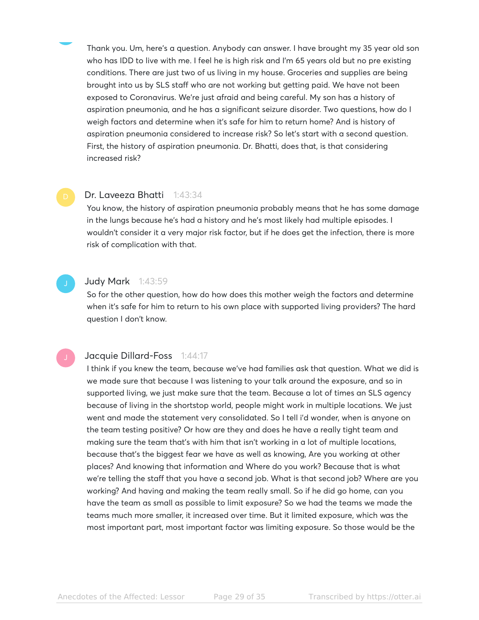Thank you. Um, here's a question. Anybody can answer. I have brought my 35 year old son who has IDD to live with me. I feel he is high risk and I'm 65 years old but no pre existing conditions. There are just two of us living in my house. Groceries and supplies are being brought into us by SLS staff who are not working but getting paid. We have not been exposed to Coronavirus. We're just afraid and being careful. My son has a history of aspiration pneumonia, and he has a significant seizure disorder. Two questions, how do I weigh factors and determine when it's safe for him to return home? And is history of aspiration pneumonia considered to increase risk? So let's start with a second question. First, the history of aspiration pneumonia. Dr. Bhatti, does that, is that considering increased risk?

# Dr. Laveeza Bhatti 1:43:34

You know, the history of aspiration pneumonia probably means that he has some damage in the lungs because he's had a history and he's most likely had multiple episodes. I wouldn't consider it a very major risk factor, but if he does get the infection, there is more risk of complication with that.



#### Judy Mark 1:43:59

So for the other question, how do how does this mother weigh the factors and determine when it's safe for him to return to his own place with supported living providers? The hard question I don't know.

#### Jacquie Dillard-Foss 1:44:17

I think if you knew the team, because we've had families ask that question. What we did is we made sure that because I was listening to your talk around the exposure, and so in supported living, we just make sure that the team. Because a lot of times an SLS agency because of living in the shortstop world, people might work in multiple locations. We just went and made the statement very consolidated. So I tell i'd wonder, when is anyone on the team testing positive? Or how are they and does he have a really tight team and making sure the team that's with him that isn't working in a lot of multiple locations, because that's the biggest fear we have as well as knowing, Are you working at other places? And knowing that information and Where do you work? Because that is what we're telling the staff that you have a second job. What is that second job? Where are you working? And having and making the team really small. So if he did go home, can you have the team as small as possible to limit exposure? So we had the teams we made the teams much more smaller, it increased over time. But it limited exposure, which was the most important part, most important factor was limiting exposure. So those would be the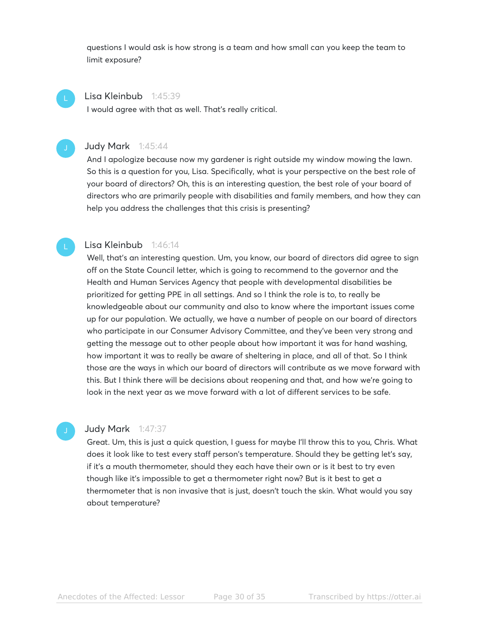questions I would ask is how strong is a team and how small can you keep the team to limit exposure?

#### Lisa Kleinbub 1:45:39

I would agree with that as well. That's really critical.

### Judy Mark 1:45:44

And I apologize because now my gardener is right outside my window mowing the lawn. So this is a question for you, Lisa. Specifically, what is your perspective on the best role of your board of directors? Oh, this is an interesting question, the best role of your board of directors who are primarily people with disabilities and family members, and how they can help you address the challenges that this crisis is presenting?

#### Lisa Kleinbub 1:46:14

Well, that's an interesting question. Um, you know, our board of directors did agree to sign off on the State Council letter, which is going to recommend to the governor and the Health and Human Services Agency that people with developmental disabilities be prioritized for getting PPE in all settings. And so I think the role is to, to really be knowledgeable about our community and also to know where the important issues come up for our population. We actually, we have a number of people on our board of directors who participate in our Consumer Advisory Committee, and they've been very strong and getting the message out to other people about how important it was for hand washing, how important it was to really be aware of sheltering in place, and all of that. So I think those are the ways in which our board of directors will contribute as we move forward with this. But I think there will be decisions about reopening and that, and how we're going to look in the next year as we move forward with a lot of different services to be safe.

#### Judy Mark 1:47:37

Great. Um, this is just a quick question, I guess for maybe I'll throw this to you, Chris. What does it look like to test every staff person's temperature. Should they be getting let's say, if it's a mouth thermometer, should they each have their own or is it best to try even though like it's impossible to get a thermometer right now? But is it best to get a thermometer that is non invasive that is just, doesn't touch the skin. What would you say about temperature?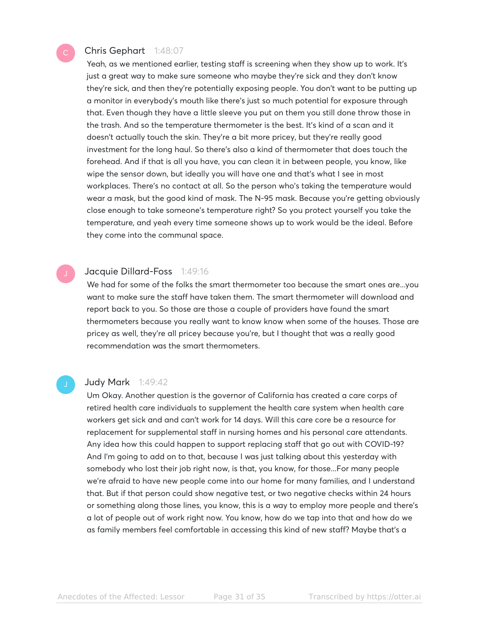# Chris Gephart 1:48:07

Yeah, as we mentioned earlier, testing staff is screening when they show up to work. It's just a great way to make sure someone who maybe they're sick and they don't know they're sick, and then they're potentially exposing people. You don't want to be putting up a monitor in everybody's mouth like there's just so much potential for exposure through that. Even though they have a little sleeve you put on them you still done throw those in the trash. And so the temperature thermometer is the best. It's kind of a scan and it doesn't actually touch the skin. They're a bit more pricey, but they're really good investment for the long haul. So there's also a kind of thermometer that does touch the forehead. And if that is all you have, you can clean it in between people, you know, like wipe the sensor down, but ideally you will have one and that's what I see in most workplaces. There's no contact at all. So the person who's taking the temperature would wear a mask, but the good kind of mask. The N-95 mask. Because you're getting obviously close enough to take someone's temperature right? So you protect yourself you take the temperature, and yeah every time someone shows up to work would be the ideal. Before they come into the communal space.

# Jacquie Dillard-Foss 1:49:16

We had for some of the folks the smart thermometer too because the smart ones are...you want to make sure the staff have taken them. The smart thermometer will download and report back to you. So those are those a couple of providers have found the smart thermometers because you really want to know know when some of the houses. Those are pricey as well, they're all pricey because you're, but I thought that was a really good recommendation was the smart thermometers.

#### Judy Mark 1:49:42

Um Okay. Another question is the governor of California has created a care corps of retired health care individuals to supplement the health care system when health care workers get sick and and can't work for 14 days. Will this care core be a resource for replacement for supplemental staff in nursing homes and his personal care attendants. Any idea how this could happen to support replacing staff that go out with COVID-19? And I'm going to add on to that, because I was just talking about this yesterday with somebody who lost their job right now, is that, you know, for those...For many people we're afraid to have new people come into our home for many families, and I understand that. But if that person could show negative test, or two negative checks within 24 hours or something along those lines, you know, this is a way to employ more people and there's a lot of people out of work right now. You know, how do we tap into that and how do we as family members feel comfortable in accessing this kind of new staff? Maybe that's a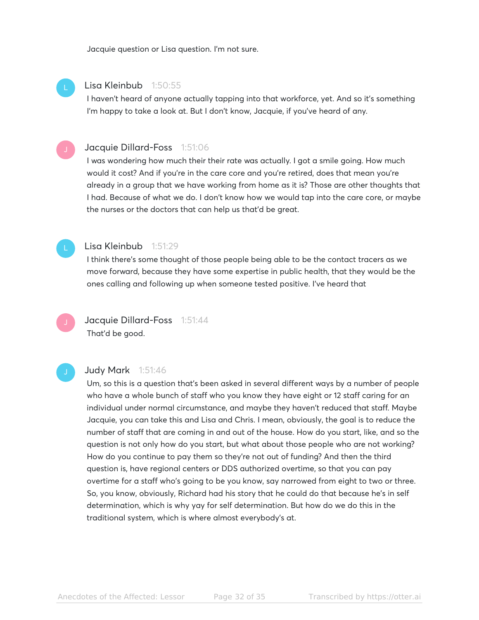Jacquie question or Lisa question. I'm not sure.

# Lisa Kleinbub 1:50:55

I haven't heard of anyone actually tapping into that workforce, yet. And so it's something I'm happy to take a look at. But I don't know, Jacquie, if you've heard of any.

# Jacquie Dillard-Foss 1:51:06

I was wondering how much their their rate was actually. I got a smile going. How much would it cost? And if you're in the care core and you're retired, does that mean you're already in a group that we have working from home as it is? Those are other thoughts that I had. Because of what we do. I don't know how we would tap into the care core, or maybe the nurses or the doctors that can help us that'd be great.



#### Lisa Kleinbub 1:51:29

I think there's some thought of those people being able to be the contact tracers as we move forward, because they have some expertise in public health, that they would be the ones calling and following up when someone tested positive. I've heard that



# Judy Mark 1:51:46

Um, so this is a question that's been asked in several different ways by a number of people who have a whole bunch of staff who you know they have eight or 12 staff caring for an individual under normal circumstance, and maybe they haven't reduced that staff. Maybe Jacquie, you can take this and Lisa and Chris. I mean, obviously, the goal is to reduce the number of staff that are coming in and out of the house. How do you start, like, and so the question is not only how do you start, but what about those people who are not working? How do you continue to pay them so they're not out of funding? And then the third question is, have regional centers or DDS authorized overtime, so that you can pay overtime for a staff who's going to be you know, say narrowed from eight to two or three. So, you know, obviously, Richard had his story that he could do that because he's in self determination, which is why yay for self determination. But how do we do this in the traditional system, which is where almost everybody's at.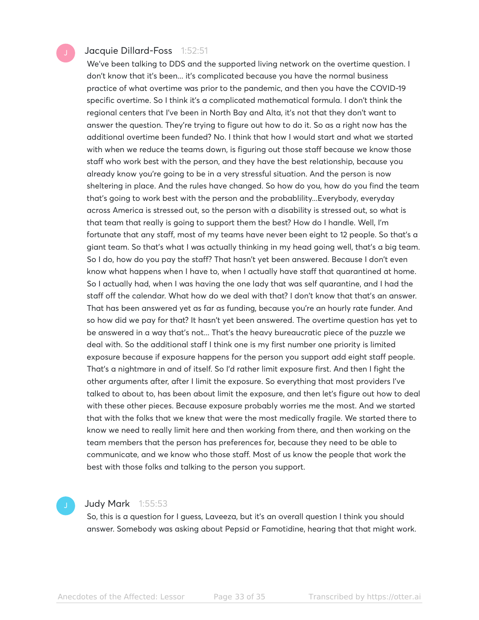### Jacquie Dillard-Foss 1:52:51

We've been talking to DDS and the supported living network on the overtime question. I don't know that it's been... it's complicated because you have the normal business practice of what overtime was prior to the pandemic, and then you have the COVID-19 specific overtime. So I think it's a complicated mathematical formula. I don't think the regional centers that I've been in North Bay and Alta, it's not that they don't want to answer the question. They're trying to figure out how to do it. So as a right now has the additional overtime been funded? No. I think that how I would start and what we started with when we reduce the teams down, is figuring out those staff because we know those staff who work best with the person, and they have the best relationship, because you already know you're going to be in a very stressful situation. And the person is now sheltering in place. And the rules have changed. So how do you, how do you find the team that's going to work best with the person and the probablility...Everybody, everyday across America is stressed out, so the person with a disability is stressed out, so what is that team that really is going to support them the best? How do I handle. Well, I'm fortunate that any staff, most of my teams have never been eight to 12 people. So that's a giant team. So that's what I was actually thinking in my head going well, that's a big team. So I do, how do you pay the staff? That hasn't yet been answered. Because I don't even know what happens when I have to, when I actually have staff that quarantined at home. So I actually had, when I was having the one lady that was self quarantine, and I had the staff off the calendar. What how do we deal with that? I don't know that that's an answer. That has been answered yet as far as funding, because you're an hourly rate funder. And so how did we pay for that? It hasn't yet been answered. The overtime question has yet to be answered in a way that's not... That's the heavy bureaucratic piece of the puzzle we deal with. So the additional staff I think one is my first number one priority is limited exposure because if exposure happens for the person you support add eight staff people. That's a nightmare in and of itself. So I'd rather limit exposure first. And then I fight the other arguments after, after I limit the exposure. So everything that most providers I've talked to about to, has been about limit the exposure, and then let's figure out how to deal with these other pieces. Because exposure probably worries me the most. And we started that with the folks that we knew that were the most medically fragile. We started there to know we need to really limit here and then working from there, and then working on the team members that the person has preferences for, because they need to be able to communicate, and we know who those staff. Most of us know the people that work the best with those folks and talking to the person you support.

# Judy Mark 1:55:53

So, this is a question for I guess, Laveeza, but it's an overall question I think you should answer. Somebody was asking about Pepsid or Famotidine, hearing that that might work.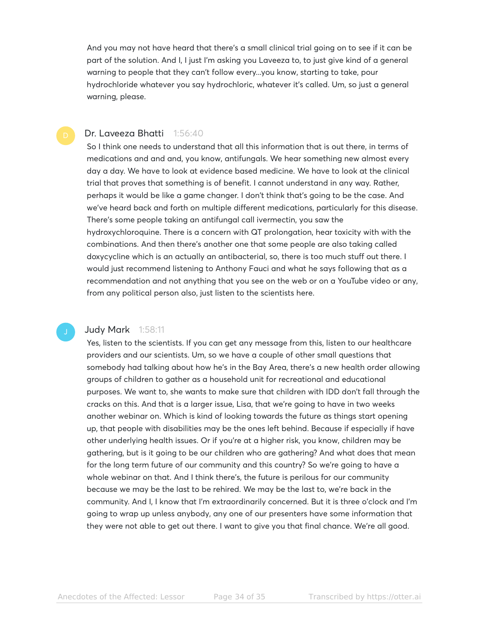And you may not have heard that there's a small clinical trial going on to see if it can be part of the solution. And I, I just I'm asking you Laveeza to, to just give kind of a general warning to people that they can't follow every...you know, starting to take, pour hydrochloride whatever you say hydrochloric, whatever it's called. Um, so just a general warning, please.

#### Dr. Laveeza Bhatti 1:56:40

So I think one needs to understand that all this information that is out there, in terms of medications and and and, you know, antifungals. We hear something new almost every day a day. We have to look at evidence based medicine. We have to look at the clinical trial that proves that something is of benefit. I cannot understand in any way. Rather, perhaps it would be like a game changer. I don't think that's going to be the case. And we've heard back and forth on multiple different medications, particularly for this disease. There's some people taking an antifungal call ivermectin, you saw the hydroxychloroquine. There is a concern with QT prolongation, hear toxicity with with the combinations. And then there's another one that some people are also taking called doxycycline which is an actually an antibacterial, so, there is too much stuff out there. I would just recommend listening to Anthony Fauci and what he says following that as a recommendation and not anything that you see on the web or on a YouTube video or any, from any political person also, just listen to the scientists here.

### **Judy Mark** 1:58:11

Yes, listen to the scientists. If you can get any message from this, listen to our healthcare providers and our scientists. Um, so we have a couple of other small questions that somebody had talking about how he's in the Bay Area, there's a new health order allowing groups of children to gather as a household unit for recreational and educational purposes. We want to, she wants to make sure that children with IDD don't fall through the cracks on this. And that is a larger issue, Lisa, that we're going to have in two weeks another webinar on. Which is kind of looking towards the future as things start opening up, that people with disabilities may be the ones left behind. Because if especially if have other underlying health issues. Or if you're at a higher risk, you know, children may be gathering, but is it going to be our children who are gathering? And what does that mean for the long term future of our community and this country? So we're going to have a whole webinar on that. And I think there's, the future is perilous for our community because we may be the last to be rehired. We may be the last to, we're back in the community. And I, I know that I'm extraordinarily concerned. But it is three o'clock and I'm going to wrap up unless anybody, any one of our presenters have some information that they were not able to get out there. I want to give you that final chance. We're all good.